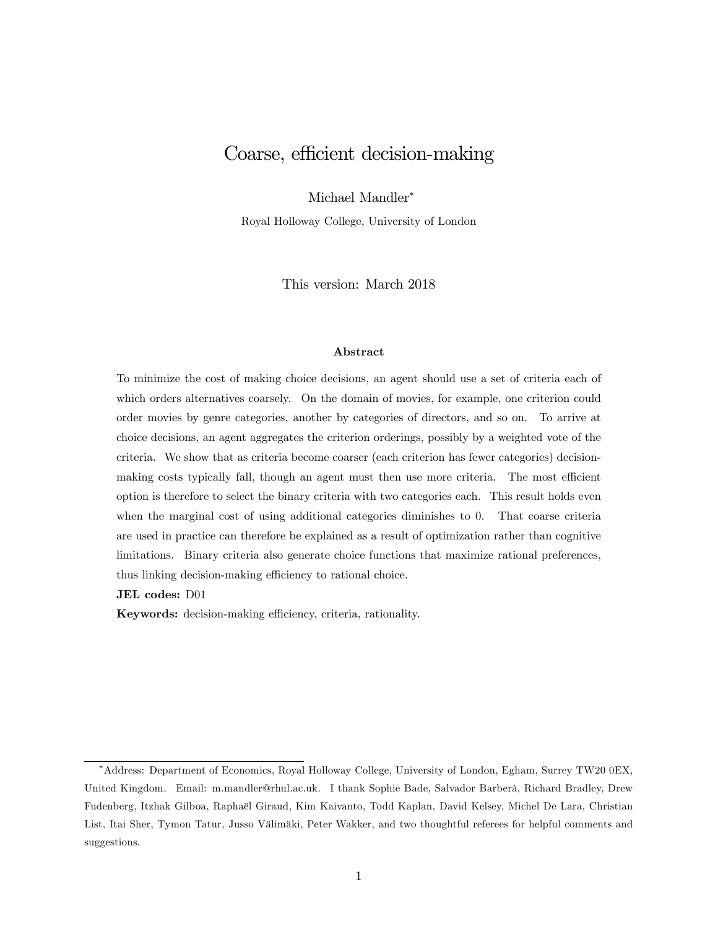# Coarse, efficient decision-making

Michael Mandler

Royal Holloway College, University of London

This version: March 2018

#### Abstract

To minimize the cost of making choice decisions, an agent should use a set of criteria each of which orders alternatives coarsely. On the domain of movies, for example, one criterion could order movies by genre categories, another by categories of directors, and so on. To arrive at choice decisions, an agent aggregates the criterion orderings, possibly by a weighted vote of the criteria. We show that as criteria become coarser (each criterion has fewer categories) decisionmaking costs typically fall, though an agent must then use more criteria. The most efficient option is therefore to select the binary criteria with two categories each. This result holds even when the marginal cost of using additional categories diminishes to 0. That coarse criteria are used in practice can therefore be explained as a result of optimization rather than cognitive limitations. Binary criteria also generate choice functions that maximize rational preferences, thus linking decision-making efficiency to rational choice.

JEL codes: D01

Keywords: decision-making efficiency, criteria, rationality.

Address: Department of Economics, Royal Holloway College, University of London, Egham, Surrey TW20 0EX, United Kingdom. Email: m.mandler@rhul.ac.uk. I thank Sophie Bade, Salvador Barberà, Richard Bradley, Drew Fudenberg, Itzhak Gilboa, RaphaÎl Giraud, Kim Kaivanto, Todd Kaplan, David Kelsey, Michel De Lara, Christian List, Itai Sher, Tymon Tatur, Jusso Välimäki, Peter Wakker, and two thoughtful referees for helpful comments and suggestions.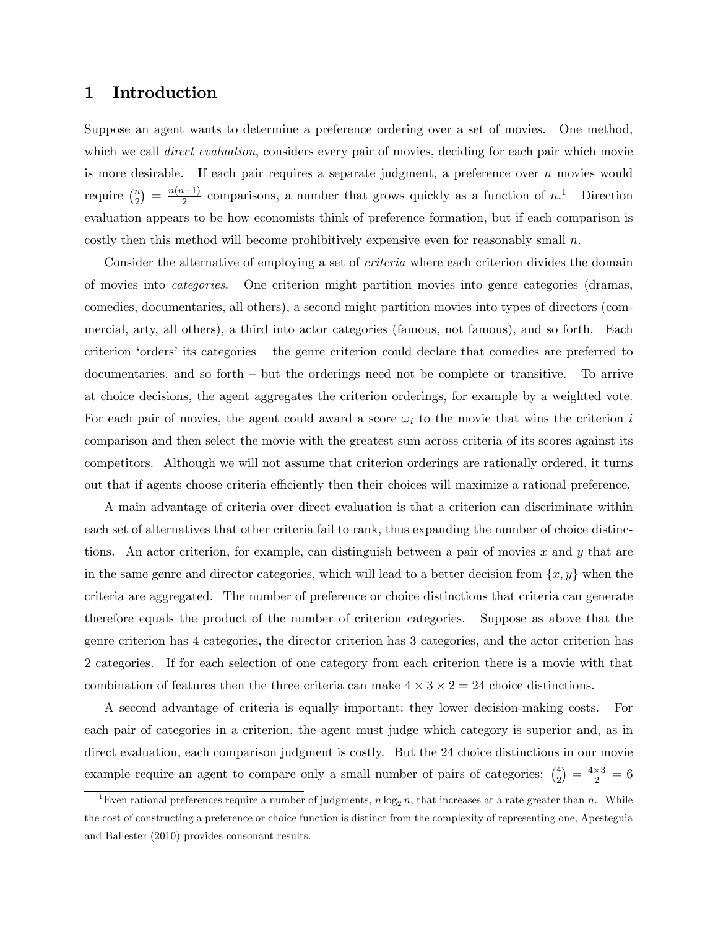### 1 Introduction

Suppose an agent wants to determine a preference ordering over a set of movies. One method, which we call *direct evaluation*, considers every pair of movies, deciding for each pair which movie is more desirable. If each pair requires a separate judgment, a preference over  $n$  movies would require  $\binom{n}{2}$  $\binom{n}{2} = \frac{n(n-1)}{2}$  comparisons, a number that grows quickly as a function of  $n<sup>1</sup>$ . Direction evaluation appears to be how economists think of preference formation, but if each comparison is costly then this method will become prohibitively expensive even for reasonably small  $n$ .

Consider the alternative of employing a set of *criteria* where each criterion divides the domain of movies into categories. One criterion might partition movies into genre categories (dramas, comedies, documentaries, all others), a second might partition movies into types of directors (commercial, arty, all others), a third into actor categories (famous, not famous), and so forth. Each criterion 'orders' its categories  $-$  the genre criterion could declare that comedies are preferred to documentaries, and so forth  $-\text{ but the orderings need not be complete or transitive.}$  To arrive at choice decisions, the agent aggregates the criterion orderings, for example by a weighted vote. For each pair of movies, the agent could award a score  $\omega_i$  to the movie that wins the criterion i comparison and then select the movie with the greatest sum across criteria of its scores against its competitors. Although we will not assume that criterion orderings are rationally ordered, it turns out that if agents choose criteria efficiently then their choices will maximize a rational preference.

A main advantage of criteria over direct evaluation is that a criterion can discriminate within each set of alternatives that other criteria fail to rank, thus expanding the number of choice distinctions. An actor criterion, for example, can distinguish between a pair of movies  $x$  and  $y$  that are in the same genre and director categories, which will lead to a better decision from  $\{x, y\}$  when the criteria are aggregated. The number of preference or choice distinctions that criteria can generate therefore equals the product of the number of criterion categories. Suppose as above that the genre criterion has 4 categories, the director criterion has 3 categories, and the actor criterion has 2 categories. If for each selection of one category from each criterion there is a movie with that combination of features then the three criteria can make  $4 \times 3 \times 2 = 24$  choice distinctions.

A second advantage of criteria is equally important: they lower decision-making costs. For each pair of categories in a criterion, the agent must judge which category is superior and, as in direct evaluation, each comparison judgment is costly. But the 24 choice distinctions in our movie example require an agent to compare only a small number of pairs of categories:  $\binom{4}{2}$  $\binom{4}{2} = \frac{4 \times 3}{2} = 6$ 

<sup>&</sup>lt;sup>1</sup>Even rational preferences require a number of judgments,  $n \log_2 n$ , that increases at a rate greater than n. While the cost of constructing a preference or choice function is distinct from the complexity of representing one, Apesteguia and Ballester (2010) provides consonant results.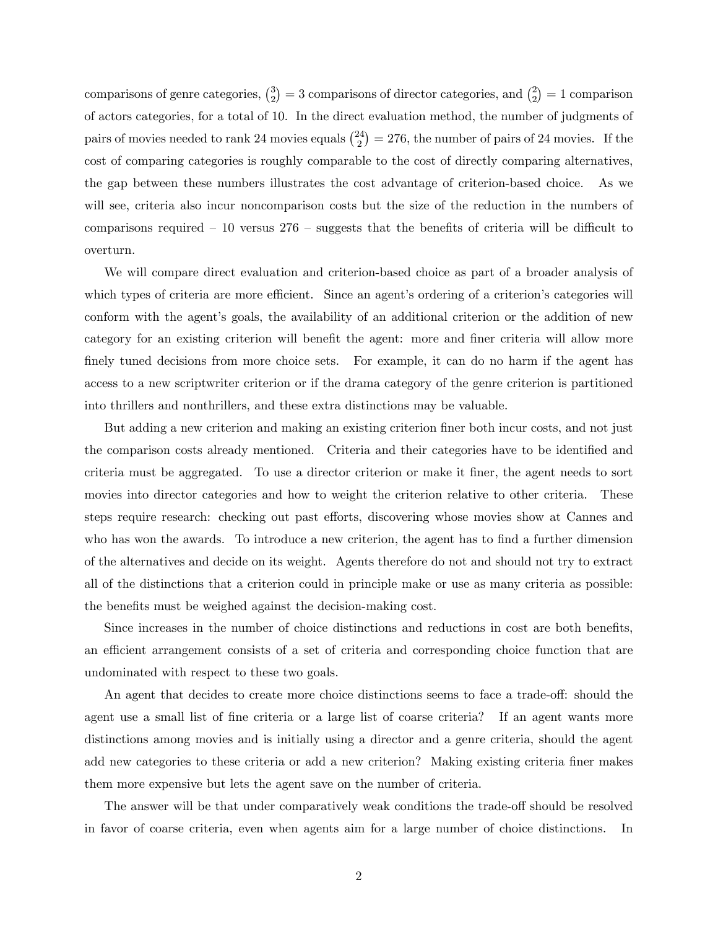comparisons of genre categories,  $\binom{3}{2}$  $\binom{3}{2} = 3$  comparisons of director categories, and  $\binom{2}{2}$  $2<sub>2</sub>$ ) = 1 comparison of actors categories, for a total of 10. In the direct evaluation method, the number of judgments of pairs of movies needed to rank 24 movies equals  $\binom{24}{2}$  $\binom{24}{2} = 276$ , the number of pairs of 24 movies. If the cost of comparing categories is roughly comparable to the cost of directly comparing alternatives, the gap between these numbers illustrates the cost advantage of criterion-based choice. As we will see, criteria also incur noncomparison costs but the size of the reduction in the numbers of comparisons required  $-10$  versus  $276$  – suggests that the benefits of criteria will be difficult to overturn.

We will compare direct evaluation and criterion-based choice as part of a broader analysis of which types of criteria are more efficient. Since an agent's ordering of a criterion's categories will conform with the agent's goals, the availability of an additional criterion or the addition of new category for an existing criterion will benefit the agent: more and finer criteria will allow more finely tuned decisions from more choice sets. For example, it can do no harm if the agent has access to a new scriptwriter criterion or if the drama category of the genre criterion is partitioned into thrillers and nonthrillers, and these extra distinctions may be valuable.

But adding a new criterion and making an existing criterion finer both incur costs, and not just the comparison costs already mentioned. Criteria and their categories have to be identified and criteria must be aggregated. To use a director criterion or make it Öner, the agent needs to sort movies into director categories and how to weight the criterion relative to other criteria. These steps require research: checking out past efforts, discovering whose movies show at Cannes and who has won the awards. To introduce a new criterion, the agent has to find a further dimension of the alternatives and decide on its weight. Agents therefore do not and should not try to extract all of the distinctions that a criterion could in principle make or use as many criteria as possible: the benefits must be weighed against the decision-making cost.

Since increases in the number of choice distinctions and reductions in cost are both benefits, an efficient arrangement consists of a set of criteria and corresponding choice function that are undominated with respect to these two goals.

An agent that decides to create more choice distinctions seems to face a trade-off: should the agent use a small list of fine criteria or a large list of coarse criteria? If an agent wants more distinctions among movies and is initially using a director and a genre criteria, should the agent add new categories to these criteria or add a new criterion? Making existing criteria finer makes them more expensive but lets the agent save on the number of criteria.

The answer will be that under comparatively weak conditions the trade-off should be resolved in favor of coarse criteria, even when agents aim for a large number of choice distinctions. In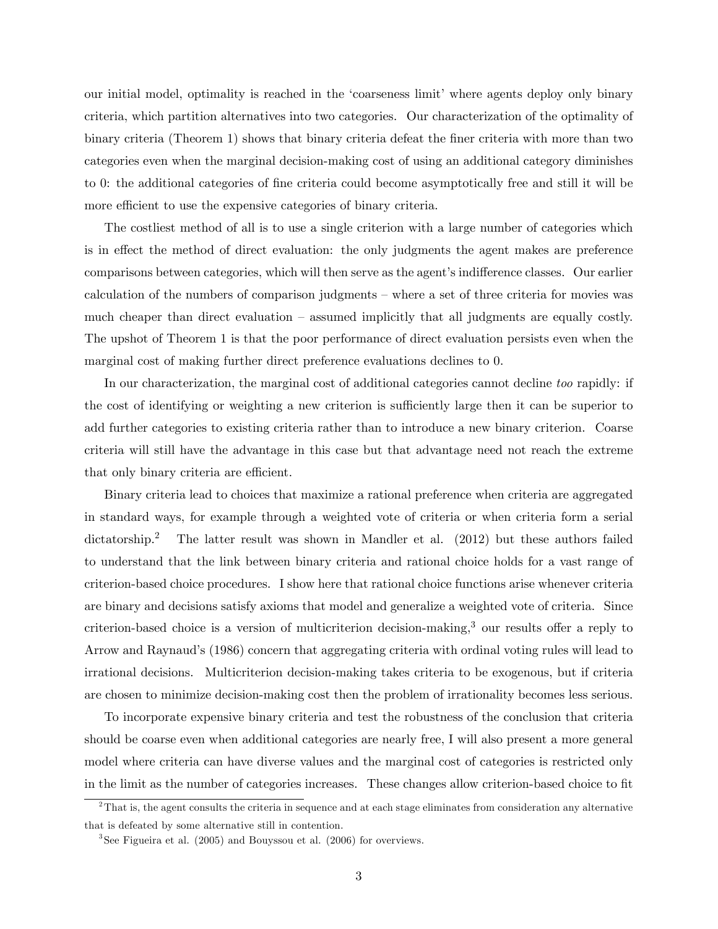our initial model, optimality is reached in the 'coarseness limit' where agents deploy only binary criteria, which partition alternatives into two categories. Our characterization of the optimality of binary criteria (Theorem 1) shows that binary criteria defeat the finer criteria with more than two categories even when the marginal decision-making cost of using an additional category diminishes to 0: the additional categories of fine criteria could become asymptotically free and still it will be more efficient to use the expensive categories of binary criteria.

The costliest method of all is to use a single criterion with a large number of categories which is in effect the method of direct evaluation: the only judgments the agent makes are preference comparisons between categories, which will then serve as the agent's indifference classes. Our earlier calculation of the numbers of comparison judgments  $-\theta$  where a set of three criteria for movies was much cheaper than direct evaluation  $\overline{\phantom{a}}$  assumed implicitly that all judgments are equally costly. The upshot of Theorem 1 is that the poor performance of direct evaluation persists even when the marginal cost of making further direct preference evaluations declines to 0.

In our characterization, the marginal cost of additional categories cannot decline too rapidly: if the cost of identifying or weighting a new criterion is sufficiently large then it can be superior to add further categories to existing criteria rather than to introduce a new binary criterion. Coarse criteria will still have the advantage in this case but that advantage need not reach the extreme that only binary criteria are efficient.

Binary criteria lead to choices that maximize a rational preference when criteria are aggregated in standard ways, for example through a weighted vote of criteria or when criteria form a serial dictatorship.<sup>2</sup> The latter result was shown in Mandler et al. (2012) but these authors failed to understand that the link between binary criteria and rational choice holds for a vast range of criterion-based choice procedures. I show here that rational choice functions arise whenever criteria are binary and decisions satisfy axioms that model and generalize a weighted vote of criteria. Since criterion-based choice is a version of multicriterion decision-making, $3$  our results offer a reply to Arrow and Raynaud's (1986) concern that aggregating criteria with ordinal voting rules will lead to irrational decisions. Multicriterion decision-making takes criteria to be exogenous, but if criteria are chosen to minimize decision-making cost then the problem of irrationality becomes less serious.

To incorporate expensive binary criteria and test the robustness of the conclusion that criteria should be coarse even when additional categories are nearly free, I will also present a more general model where criteria can have diverse values and the marginal cost of categories is restricted only in the limit as the number of categories increases. These changes allow criterion-based choice to fit

 $2$ That is, the agent consults the criteria in sequence and at each stage eliminates from consideration any alternative that is defeated by some alternative still in contention.

 $3$ See Figueira et al. (2005) and Bouyssou et al. (2006) for overviews.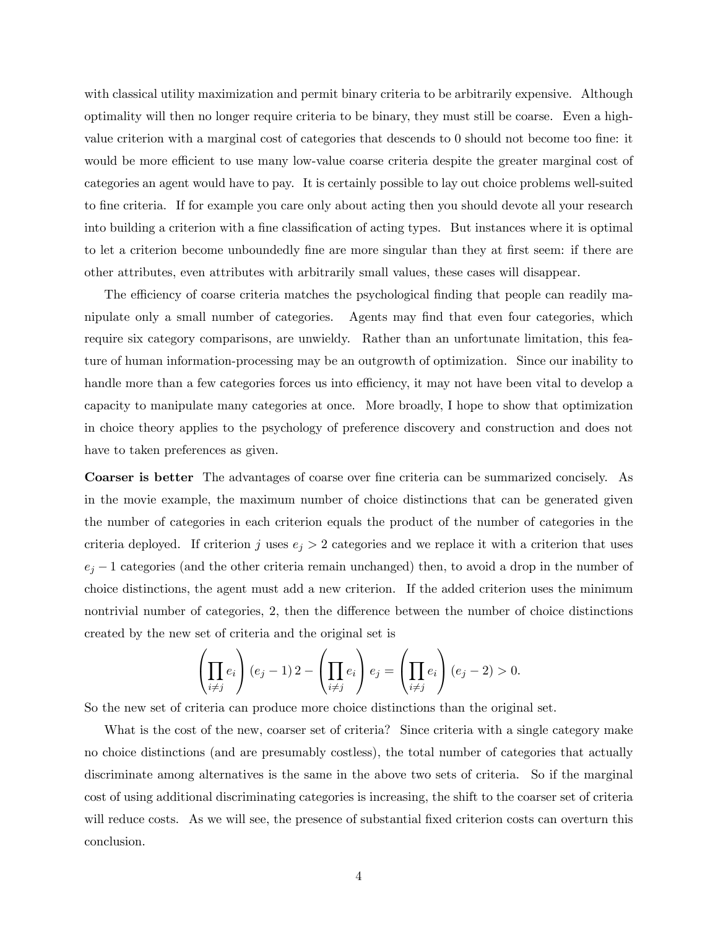with classical utility maximization and permit binary criteria to be arbitrarily expensive. Although optimality will then no longer require criteria to be binary, they must still be coarse. Even a highvalue criterion with a marginal cost of categories that descends to  $0$  should not become too fine: it would be more efficient to use many low-value coarse criteria despite the greater marginal cost of categories an agent would have to pay. It is certainly possible to lay out choice problems well-suited to fine criteria. If for example you care only about acting then you should devote all your research into building a criterion with a fine classification of acting types. But instances where it is optimal to let a criterion become unboundedly fine are more singular than they at first seem: if there are other attributes, even attributes with arbitrarily small values, these cases will disappear.

The efficiency of coarse criteria matches the psychological finding that people can readily manipulate only a small number of categories. Agents may find that even four categories, which require six category comparisons, are unwieldy. Rather than an unfortunate limitation, this feature of human information-processing may be an outgrowth of optimization. Since our inability to handle more than a few categories forces us into efficiency, it may not have been vital to develop a capacity to manipulate many categories at once. More broadly, I hope to show that optimization in choice theory applies to the psychology of preference discovery and construction and does not have to taken preferences as given.

Coarser is better The advantages of coarse over fine criteria can be summarized concisely. As in the movie example, the maximum number of choice distinctions that can be generated given the number of categories in each criterion equals the product of the number of categories in the criteria deployed. If criterion j uses  $e_j > 2$  categories and we replace it with a criterion that uses  $e_j - 1$  categories (and the other criteria remain unchanged) then, to avoid a drop in the number of choice distinctions, the agent must add a new criterion. If the added criterion uses the minimum nontrivial number of categories, 2, then the difference between the number of choice distinctions created by the new set of criteria and the original set is

$$
\left(\prod_{i\neq j}e_i\right)(e_j-1)2-\left(\prod_{i\neq j}e_i\right)e_j=\left(\prod_{i\neq j}e_i\right)(e_j-2)>0.
$$

So the new set of criteria can produce more choice distinctions than the original set.

What is the cost of the new, coarser set of criteria? Since criteria with a single category make no choice distinctions (and are presumably costless), the total number of categories that actually discriminate among alternatives is the same in the above two sets of criteria. So if the marginal cost of using additional discriminating categories is increasing, the shift to the coarser set of criteria will reduce costs. As we will see, the presence of substantial fixed criterion costs can overturn this conclusion.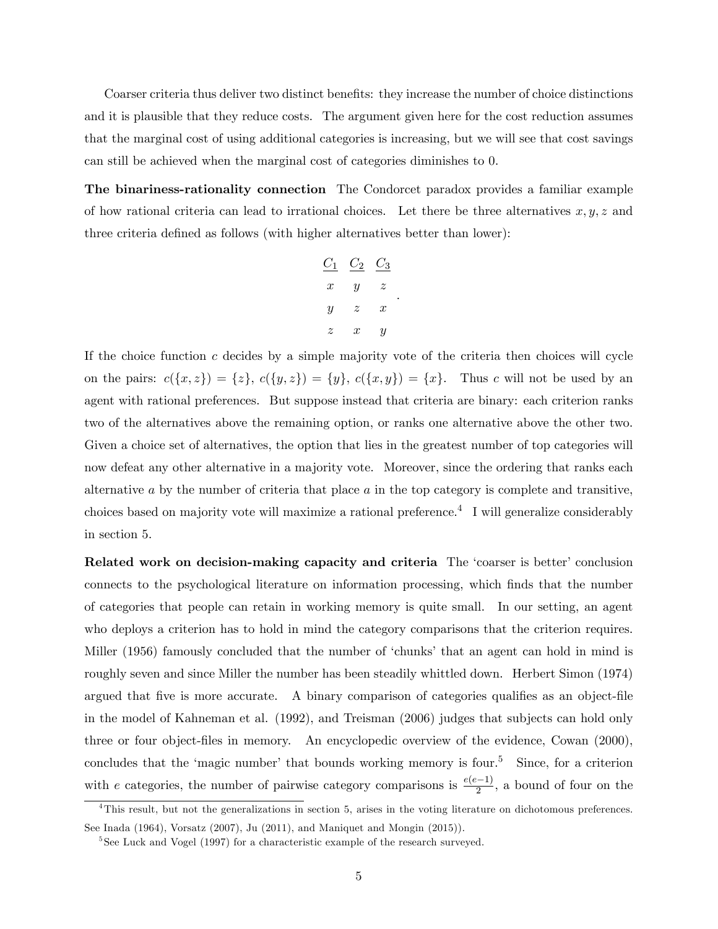Coarser criteria thus deliver two distinct benefits: they increase the number of choice distinctions and it is plausible that they reduce costs. The argument given here for the cost reduction assumes that the marginal cost of using additional categories is increasing, but we will see that cost savings can still be achieved when the marginal cost of categories diminishes to 0.

The binariness-rationality connection The Condorcet paradox provides a familiar example of how rational criteria can lead to irrational choices. Let there be three alternatives  $x, y, z$  and three criteria defined as follows (with higher alternatives better than lower):

$$
\begin{array}{ccc}\nC_1 & C_2 & C_3 \\
x & y & z \\
y & z & x \\
z & x & y\n\end{array}.
$$

If the choice function  $c$  decides by a simple majority vote of the criteria then choices will cycle on the pairs:  $c({x, z}) = {z}$ ,  $c({y, z}) = {y}$ ,  $c({x, y}) = {x}$ . Thus c will not be used by an agent with rational preferences. But suppose instead that criteria are binary: each criterion ranks two of the alternatives above the remaining option, or ranks one alternative above the other two. Given a choice set of alternatives, the option that lies in the greatest number of top categories will now defeat any other alternative in a majority vote. Moreover, since the ordering that ranks each alternative  $a$  by the number of criteria that place  $a$  in the top category is complete and transitive, choices based on majority vote will maximize a rational preference.<sup>4</sup> I will generalize considerably in section 5.

Related work on decision-making capacity and criteria The 'coarser is better' conclusion connects to the psychological literature on information processing, which Önds that the number of categories that people can retain in working memory is quite small. In our setting, an agent who deploys a criterion has to hold in mind the category comparisons that the criterion requires. Miller (1956) famously concluded that the number of 'chunks' that an agent can hold in mind is roughly seven and since Miller the number has been steadily whittled down. Herbert Simon (1974) argued that five is more accurate. A binary comparison of categories qualifies as an object-file in the model of Kahneman et al. (1992), and Treisman (2006) judges that subjects can hold only three or four object-Öles in memory. An encyclopedic overview of the evidence, Cowan (2000), concludes that the 'magic number' that bounds working memory is four.<sup>5</sup> Since, for a criterion with e categories, the number of pairwise category comparisons is  $\frac{e(e-1)}{2}$ , a bound of four on the

 $^{4}$ This result, but not the generalizations in section 5, arises in the voting literature on dichotomous preferences. See Inada (1964), Vorsatz (2007), Ju (2011), and Maniquet and Mongin (2015)).

<sup>&</sup>lt;sup>5</sup>See Luck and Vogel (1997) for a characteristic example of the research surveyed.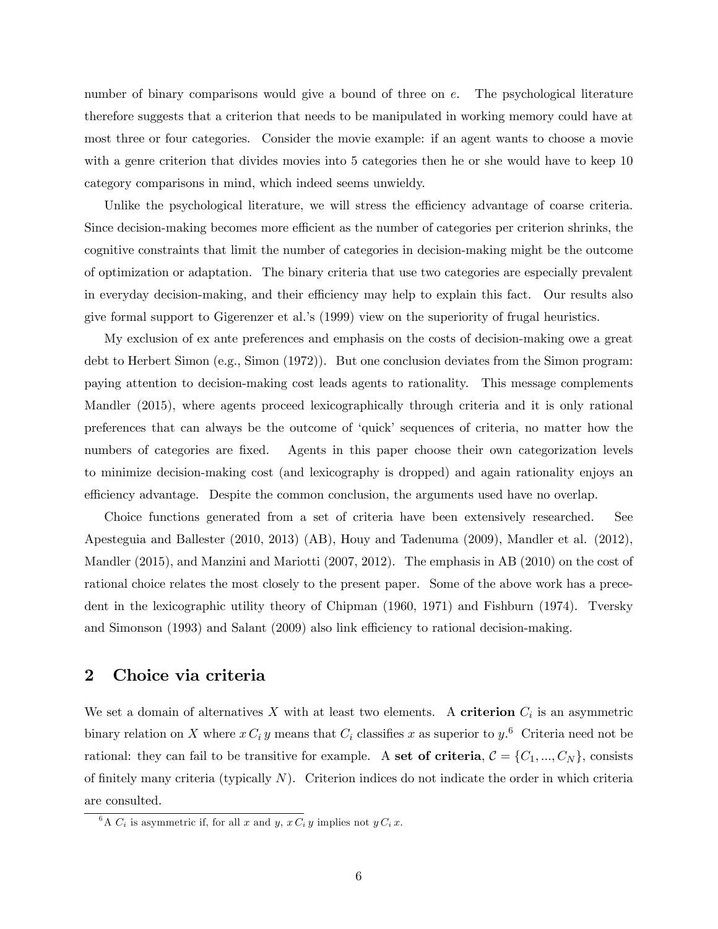number of binary comparisons would give a bound of three on e. The psychological literature therefore suggests that a criterion that needs to be manipulated in working memory could have at most three or four categories. Consider the movie example: if an agent wants to choose a movie with a genre criterion that divides movies into 5 categories then he or she would have to keep 10 category comparisons in mind, which indeed seems unwieldy.

Unlike the psychological literature, we will stress the efficiency advantage of coarse criteria. Since decision-making becomes more efficient as the number of categories per criterion shrinks, the cognitive constraints that limit the number of categories in decision-making might be the outcome of optimization or adaptation. The binary criteria that use two categories are especially prevalent in everyday decision-making, and their efficiency may help to explain this fact. Our results also give formal support to Gigerenzer et al.'s (1999) view on the superiority of frugal heuristics.

My exclusion of ex ante preferences and emphasis on the costs of decision-making owe a great debt to Herbert Simon (e.g., Simon (1972)). But one conclusion deviates from the Simon program: paying attention to decision-making cost leads agents to rationality. This message complements Mandler (2015), where agents proceed lexicographically through criteria and it is only rational preferences that can always be the outcome of ëquickí sequences of criteria, no matter how the numbers of categories are fixed. Agents in this paper choose their own categorization levels to minimize decision-making cost (and lexicography is dropped) and again rationality enjoys an efficiency advantage. Despite the common conclusion, the arguments used have no overlap.

Choice functions generated from a set of criteria have been extensively researched. See Apesteguia and Ballester (2010, 2013) (AB), Houy and Tadenuma (2009), Mandler et al. (2012), Mandler (2015), and Manzini and Mariotti (2007, 2012). The emphasis in AB (2010) on the cost of rational choice relates the most closely to the present paper. Some of the above work has a precedent in the lexicographic utility theory of Chipman (1960, 1971) and Fishburn (1974). Tversky and Simonson  $(1993)$  and Salant  $(2009)$  also link efficiency to rational decision-making.

### 2 Choice via criteria

We set a domain of alternatives X with at least two elements. A **criterion**  $C_i$  is an asymmetric binary relation on X where  $x C_i y$  means that  $C_i$  classifies x as superior to  $y$ .<sup>6</sup> Criteria need not be rational: they can fail to be transitive for example. A set of criteria,  $C = \{C_1, ..., C_N\}$ , consists of finitely many criteria (typically  $N$ ). Criterion indices do not indicate the order in which criteria are consulted.

<sup>&</sup>lt;sup>6</sup>A  $C_i$  is asymmetric if, for all x and y,  $x C_i y$  implies not  $y C_i x$ .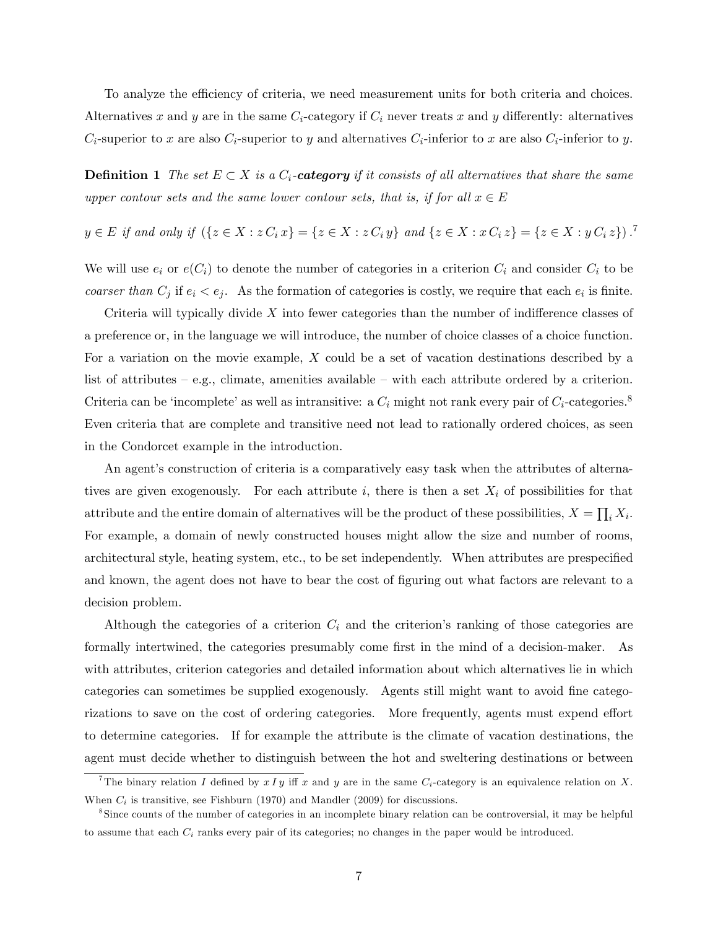To analyze the efficiency of criteria, we need measurement units for both criteria and choices. Alternatives x and y are in the same  $C_i$ -category if  $C_i$  never treats x and y differently: alternatives  $C_i$ -superior to x are also  $C_i$ -superior to y and alternatives  $C_i$ -inferior to x are also  $C_i$ -inferior to y.

**Definition 1** The set  $E \subset X$  is a  $C_i$ -category if it consists of all alternatives that share the same upper contour sets and the same lower contour sets, that is, if for all  $x \in E$ 

$$
y \in E \text{ if and only if } (\{z \in X : z \cap z \in Z : z \in X : z \cap z \in Z \text{ and } \{z \in X : x \cap z \} = \{z \in X : y \cap z \} )^{\text{?}}
$$

We will use  $e_i$  or  $e(C_i)$  to denote the number of categories in a criterion  $C_i$  and consider  $C_i$  to be coarser than  $C_j$  if  $e_i < e_j$ . As the formation of categories is costly, we require that each  $e_i$  is finite.

Criteria will typically divide  $X$  into fewer categories than the number of indifference classes of a preference or, in the language we will introduce, the number of choice classes of a choice function. For a variation on the movie example, X could be a set of vacation destinations described by a list of attributes  $-$  e.g., climate, amenities available  $-$  with each attribute ordered by a criterion. Criteria can be 'incomplete' as well as intransitive: a  $C_i$  might not rank every pair of  $C_i$ -categories.<sup>8</sup> Even criteria that are complete and transitive need not lead to rationally ordered choices, as seen in the Condorcet example in the introduction.

An agent's construction of criteria is a comparatively easy task when the attributes of alternatives are given exogenously. For each attribute i, there is then a set  $X_i$  of possibilities for that attribute and the entire domain of alternatives will be the product of these possibilities,  $X = \prod_i X_i$ . For example, a domain of newly constructed houses might allow the size and number of rooms, architectural style, heating system, etc., to be set independently. When attributes are prespecified and known, the agent does not have to bear the cost of figuring out what factors are relevant to a decision problem.

Although the categories of a criterion  $C_i$  and the criterion's ranking of those categories are formally intertwined, the categories presumably come first in the mind of a decision-maker. As with attributes, criterion categories and detailed information about which alternatives lie in which categories can sometimes be supplied exogenously. Agents still might want to avoid fine categorizations to save on the cost of ordering categories. More frequently, agents must expend effort to determine categories. If for example the attribute is the climate of vacation destinations, the agent must decide whether to distinguish between the hot and sweltering destinations or between

<sup>&</sup>lt;sup>7</sup>The binary relation I defined by  $x \, Iy$  iff x and y are in the same  $C_i$ -category is an equivalence relation on X. When  $C_i$  is transitive, see Fishburn (1970) and Mandler (2009) for discussions.

<sup>8</sup> Since counts of the number of categories in an incomplete binary relation can be controversial, it may be helpful to assume that each  $C_i$  ranks every pair of its categories; no changes in the paper would be introduced.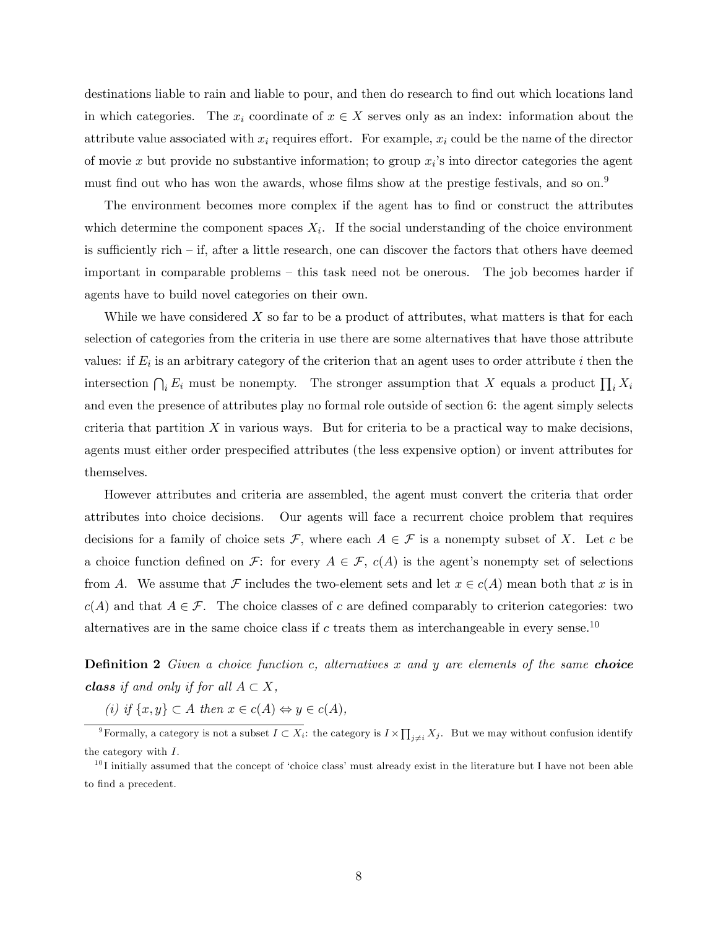destinations liable to rain and liable to pour, and then do research to find out which locations land in which categories. The  $x_i$  coordinate of  $x \in X$  serves only as an index: information about the attribute value associated with  $x_i$  requires effort. For example,  $x_i$  could be the name of the director of movie x but provide no substantive information; to group  $x_i$ 's into director categories the agent must find out who has won the awards, whose films show at the prestige festivals, and so on.<sup>9</sup>

The environment becomes more complex if the agent has to find or construct the attributes which determine the component spaces  $X_i$ . If the social understanding of the choice environment is sufficiently rich  $-$  if, after a little research, one can discover the factors that others have deemed important in comparable problems  $-$  this task need not be onerous. The job becomes harder if agents have to build novel categories on their own.

While we have considered  $X$  so far to be a product of attributes, what matters is that for each selection of categories from the criteria in use there are some alternatives that have those attribute values: if  $E_i$  is an arbitrary category of the criterion that an agent uses to order attribute i then the intersection  $\bigcap_i E_i$  must be nonempty. The stronger assumption that X equals a product  $\prod_i X_i$ and even the presence of attributes play no formal role outside of section 6: the agent simply selects criteria that partition  $X$  in various ways. But for criteria to be a practical way to make decisions. agents must either order prespecified attributes (the less expensive option) or invent attributes for themselves.

However attributes and criteria are assembled, the agent must convert the criteria that order attributes into choice decisions. Our agents will face a recurrent choice problem that requires decisions for a family of choice sets  $\mathcal{F}$ , where each  $A \in \mathcal{F}$  is a nonempty subset of X. Let c be a choice function defined on F: for every  $A \in \mathcal{F}$ ,  $c(A)$  is the agent's nonempty set of selections from A. We assume that F includes the two-element sets and let  $x \in c(A)$  mean both that x is in  $c(A)$  and that  $A \in \mathcal{F}$ . The choice classes of c are defined comparably to criterion categories: two alternatives are in the same choice class if  $c$  treats them as interchangeable in every sense.<sup>10</sup>

**Definition 2** Given a choice function c, alternatives x and y are elements of the same choice **class** if and only if for all  $A \subset X$ ,

(i) if  $\{x, y\} \subset A$  then  $x \in c(A) \Leftrightarrow y \in c(A)$ ,

<sup>&</sup>lt;sup>9</sup>Formally, a category is not a subset  $I \subset X_i$ : the category is  $I \times \prod_{j \neq i} X_j$ . But we may without confusion identify the category with I.

 $10I$  initially assumed that the concept of 'choice class' must already exist in the literature but I have not been able to find a precedent.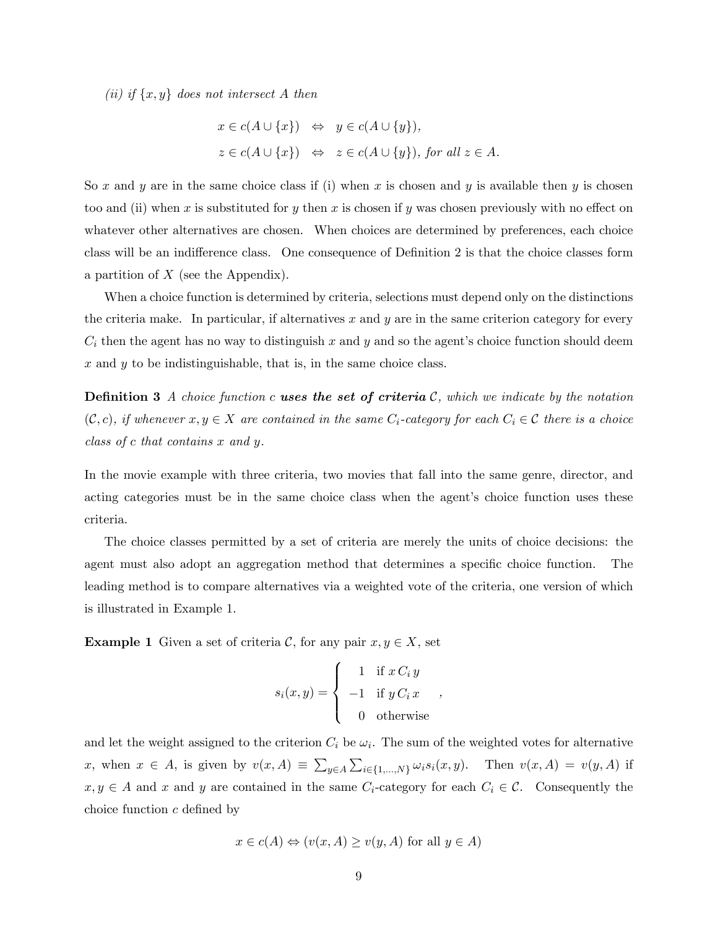(ii) if  $\{x, y\}$  does not intersect A then

$$
x \in c(A \cup \{x\}) \Leftrightarrow y \in c(A \cup \{y\}),
$$
  

$$
z \in c(A \cup \{x\}) \Leftrightarrow z \in c(A \cup \{y\}), \text{ for all } z \in A.
$$

So x and y are in the same choice class if (i) when x is chosen and y is available then y is chosen too and (ii) when x is substituted for y then x is chosen if y was chosen previously with no effect on whatever other alternatives are chosen. When choices are determined by preferences, each choice class will be an indifference class. One consequence of Definition 2 is that the choice classes form a partition of  $X$  (see the Appendix).

When a choice function is determined by criteria, selections must depend only on the distinctions the criteria make. In particular, if alternatives x and y are in the same criterion category for every  $C_i$  then the agent has no way to distinguish x and y and so the agent's choice function should deem  $x$  and  $y$  to be indistinguishable, that is, in the same choice class.

**Definition 3** A choice function c uses the set of criteria C, which we indicate by the notation  $(C, c)$ , if whenever  $x, y \in X$  are contained in the same  $C_i$ -category for each  $C_i \in \mathcal{C}$  there is a choice class of c that contains x and y.

In the movie example with three criteria, two movies that fall into the same genre, director, and acting categories must be in the same choice class when the agent's choice function uses these criteria.

The choice classes permitted by a set of criteria are merely the units of choice decisions: the agent must also adopt an aggregation method that determines a specific choice function. The leading method is to compare alternatives via a weighted vote of the criteria, one version of which is illustrated in Example 1.

**Example 1** Given a set of criteria C, for any pair  $x, y \in X$ , set

$$
s_i(x,y) = \begin{cases} 1 & \text{if } x \, C_i \, y \\ -1 & \text{if } y \, C_i \, x \\ 0 & \text{otherwise} \end{cases}
$$

and let the weight assigned to the criterion  $C_i$  be  $\omega_i$ . The sum of the weighted votes for alternative x, when  $x \in A$ , is given by  $v(x, A) \equiv \sum_{y \in A} \sum_{i \in \{1, ..., N\}} \omega_i s_i(x, y)$ . Then  $v(x, A) = v(y, A)$  if  $x, y \in A$  and x and y are contained in the same  $C_i$ -category for each  $C_i \in \mathcal{C}$ . Consequently the choice function  $c$  defined by

$$
x \in c(A) \Leftrightarrow (v(x, A) \ge v(y, A)
$$
 for all  $y \in A$ )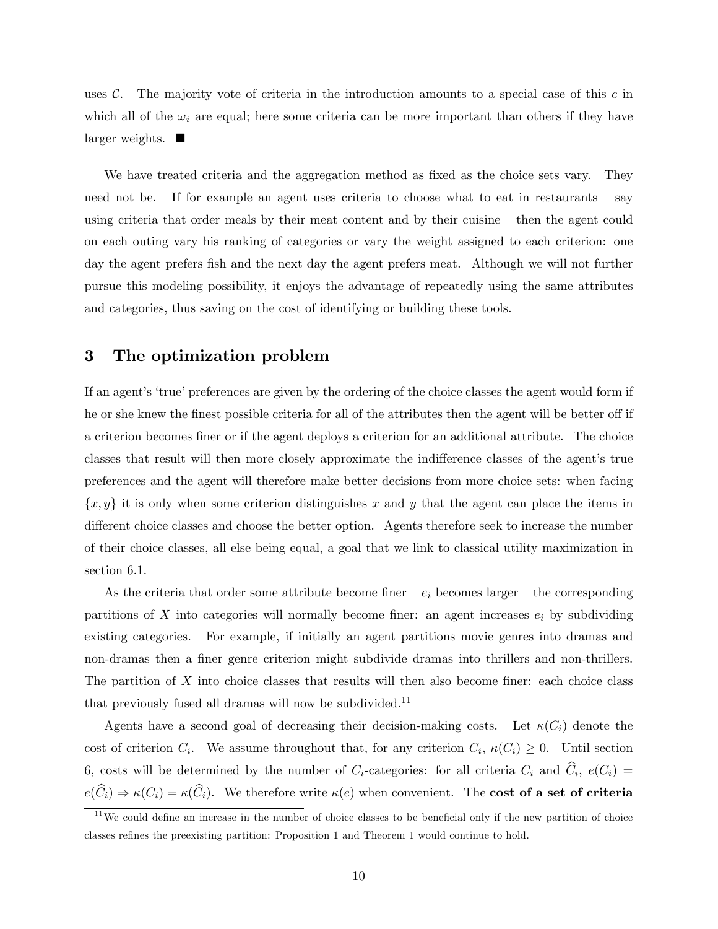uses  $\mathcal{C}$ . The majority vote of criteria in the introduction amounts to a special case of this c in which all of the  $\omega_i$  are equal; here some criteria can be more important than others if they have  $\lvert \text{larger weights.} \rvert$ 

We have treated criteria and the aggregation method as fixed as the choice sets vary. They need not be. If for example an agent uses criteria to choose what to eat in restaurants  $-$  say using criteria that order meals by their meat content and by their cuisine  $-$  then the agent could on each outing vary his ranking of categories or vary the weight assigned to each criterion: one day the agent prefers fish and the next day the agent prefers meat. Although we will not further pursue this modeling possibility, it enjoys the advantage of repeatedly using the same attributes and categories, thus saving on the cost of identifying or building these tools.

## 3 The optimization problem

If an agent's 'true' preferences are given by the ordering of the choice classes the agent would form if he or she knew the finest possible criteria for all of the attributes then the agent will be better off if a criterion becomes finer or if the agent deploys a criterion for an additional attribute. The choice classes that result will then more closely approximate the indifference classes of the agent's true preferences and the agent will therefore make better decisions from more choice sets: when facing  $\{x, y\}$  it is only when some criterion distinguishes x and y that the agent can place the items in different choice classes and choose the better option. Agents therefore seek to increase the number of their choice classes, all else being equal, a goal that we link to classical utility maximization in section 6.1.

As the criteria that order some attribute become finer  $-e_i$  becomes larger  $-$  the corresponding partitions of X into categories will normally become finer: an agent increases  $e_i$  by subdividing existing categories. For example, if initially an agent partitions movie genres into dramas and non-dramas then a finer genre criterion might subdivide dramas into thrillers and non-thrillers. The partition of  $X$  into choice classes that results will then also become finer: each choice class that previously fused all dramas will now be subdivided.<sup>11</sup>

Agents have a second goal of decreasing their decision-making costs. Let  $\kappa(C_i)$  denote the cost of criterion  $C_i$ . We assume throughout that, for any criterion  $C_i$ ,  $\kappa(C_i) \geq 0$ . Until section 6, costs will be determined by the number of  $C_i$ -categories: for all criteria  $C_i$  and  $C_i$ ,  $e(C_i)$  =  $e(\widehat{C}_i) \Rightarrow \kappa(C_i) = \kappa(\widehat{C}_i)$ . We therefore write  $\kappa(e)$  when convenient. The **cost of a set of criteria** 

 $11$ We could define an increase in the number of choice classes to be beneficial only if the new partition of choice classes refines the preexisting partition: Proposition 1 and Theorem 1 would continue to hold.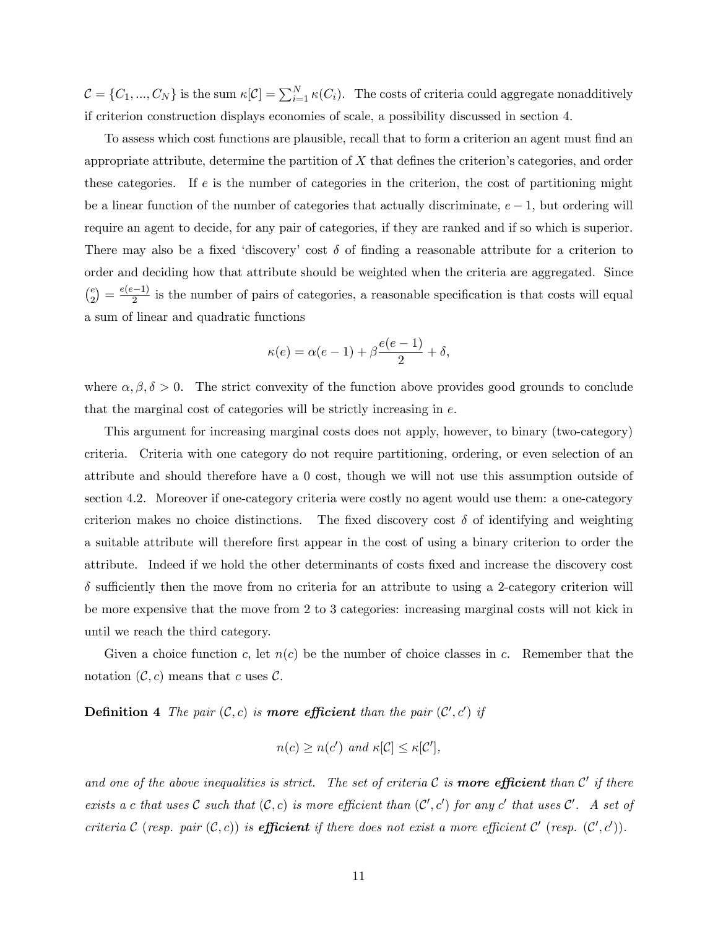$\mathcal{C} = \{C_1, ..., C_N\}$  is the sum  $\kappa[\mathcal{C}] = \sum_{i=1}^N \kappa(C_i)$ . The costs of criteria could aggregate nonadditively if criterion construction displays economies of scale, a possibility discussed in section 4.

To assess which cost functions are plausible, recall that to form a criterion an agent must find an appropriate attribute, determine the partition of  $X$  that defines the criterion's categories, and order these categories. If e is the number of categories in the criterion, the cost of partitioning might be a linear function of the number of categories that actually discriminate,  $e - 1$ , but ordering will require an agent to decide, for any pair of categories, if they are ranked and if so which is superior. There may also be a fixed 'discovery' cost  $\delta$  of finding a reasonable attribute for a criterion to order and deciding how that attribute should be weighted when the criteria are aggregated. Since  $\binom{e}{e}$  $\binom{e}{2} = \frac{e(e-1)}{2}$  is the number of pairs of categories, a reasonable specification is that costs will equal a sum of linear and quadratic functions

$$
\kappa(e) = \alpha(e-1) + \beta \frac{e(e-1)}{2} + \delta,
$$

where  $\alpha, \beta, \delta > 0$ . The strict convexity of the function above provides good grounds to conclude that the marginal cost of categories will be strictly increasing in  $e$ .

This argument for increasing marginal costs does not apply, however, to binary (two-category) criteria. Criteria with one category do not require partitioning, ordering, or even selection of an attribute and should therefore have a 0 cost, though we will not use this assumption outside of section 4.2. Moreover if one-category criteria were costly no agent would use them: a one-category criterion makes no choice distinctions. The fixed discovery cost  $\delta$  of identifying and weighting a suitable attribute will therefore first appear in the cost of using a binary criterion to order the attribute. Indeed if we hold the other determinants of costs fixed and increase the discovery cost  $\delta$  sufficiently then the move from no criteria for an attribute to using a 2-category criterion will be more expensive that the move from 2 to 3 categories: increasing marginal costs will not kick in until we reach the third category.

Given a choice function c, let  $n(c)$  be the number of choice classes in c. Remember that the notation  $(C, c)$  means that c uses C.

**Definition 4** The pair  $(C, c)$  is **more efficient** than the pair  $(C', c')$  if

$$
n(c) \ge n(c') \text{ and } \kappa[\mathcal{C}] \le \kappa[\mathcal{C}'],
$$

and one of the above inequalities is strict. The set of criteria  $\mathcal C$  is **more efficient** than  $\mathcal C'$  if there exists a c that uses  $C$  such that  $(C, c)$  is more efficient than  $(C', c')$  for any  $c'$  that uses  $C'$ . A set of criteria  $C$  (resp. pair  $(C, c)$ ) is **efficient** if there does not exist a more efficient  $C'$  (resp.  $(C', c')$ ).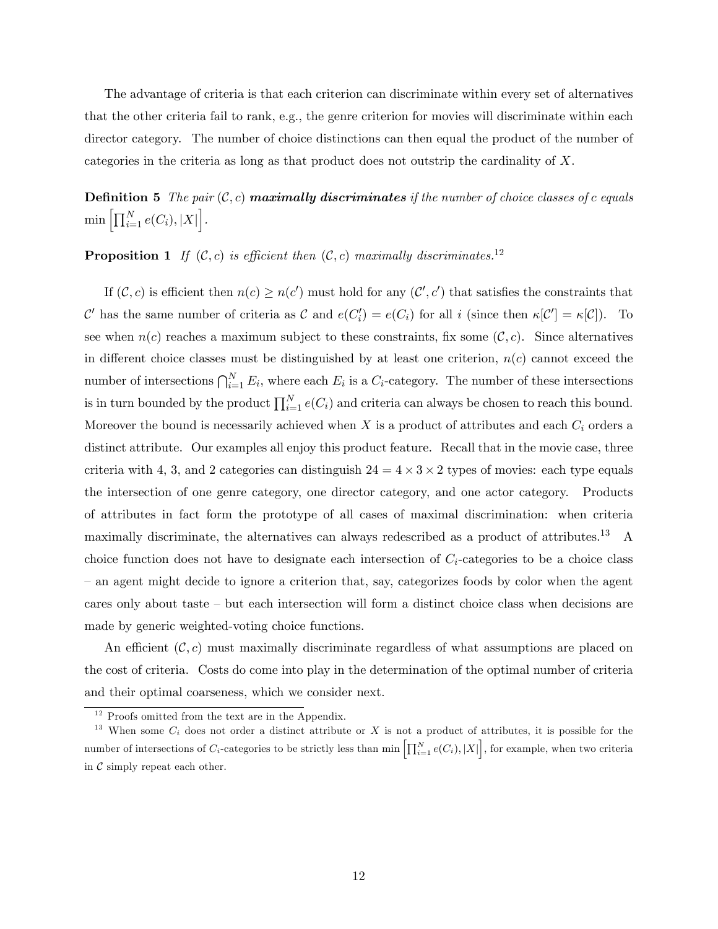The advantage of criteria is that each criterion can discriminate within every set of alternatives that the other criteria fail to rank, e.g., the genre criterion for movies will discriminate within each director category. The number of choice distinctions can then equal the product of the number of categories in the criteria as long as that product does not outstrip the cardinality of X.

**Definition 5** The pair  $(C, c)$  **maximally discriminates** if the number of choice classes of c equals  $\min \left[ \prod_{i=1}^N e(C_i), |X| \right].$ 

# **Proposition 1** If  $(C, c)$  is efficient then  $(C, c)$  maximally discriminates.<sup>12</sup>

If  $(C, c)$  is efficient then  $n(c) \geq n(c')$  must hold for any  $(C', c')$  that satisfies the constraints that C' has the same number of criteria as C and  $e(C_i') = e(C_i)$  for all i (since then  $\kappa[C'] = \kappa[C]$ ). To see when  $n(c)$  reaches a maximum subject to these constraints, fix some  $(C, c)$ . Since alternatives in different choice classes must be distinguished by at least one criterion,  $n(c)$  cannot exceed the number of intersections  $\bigcap_{i=1}^{N} E_i$ , where each  $E_i$  is a  $C_i$ -category. The number of these intersections is in turn bounded by the product  $\prod_{i=1}^{N} e(C_i)$  and criteria can always be chosen to reach this bound. Moreover the bound is necessarily achieved when  $X$  is a product of attributes and each  $C_i$  orders a distinct attribute. Our examples all enjoy this product feature. Recall that in the movie case, three criteria with 4, 3, and 2 categories can distinguish  $24 = 4 \times 3 \times 2$  types of movies: each type equals the intersection of one genre category, one director category, and one actor category. Products of attributes in fact form the prototype of all cases of maximal discrimination: when criteria maximally discriminate, the alternatives can always redescribed as a product of attributes.<sup>13</sup> A choice function does not have to designate each intersection of  $C_i$ -categories to be a choice class – an agent might decide to ignore a criterion that, say, categorizes foods by color when the agent cares only about taste  $-$  but each intersection will form a distinct choice class when decisions are made by generic weighted-voting choice functions.

An efficient  $(C, c)$  must maximally discriminate regardless of what assumptions are placed on the cost of criteria. Costs do come into play in the determination of the optimal number of criteria and their optimal coarseness, which we consider next.

 $12$  Proofs omitted from the text are in the Appendix.

<sup>&</sup>lt;sup>13</sup> When some  $C_i$  does not order a distinct attribute or X is not a product of attributes, it is possible for the number of intersections of  $C_i$ -categories to be strictly less than  $\min \left[ \prod_{i=1}^N e(C_i), |X| \right]$ , for example, when two criteria in  $\mathcal C$  simply repeat each other.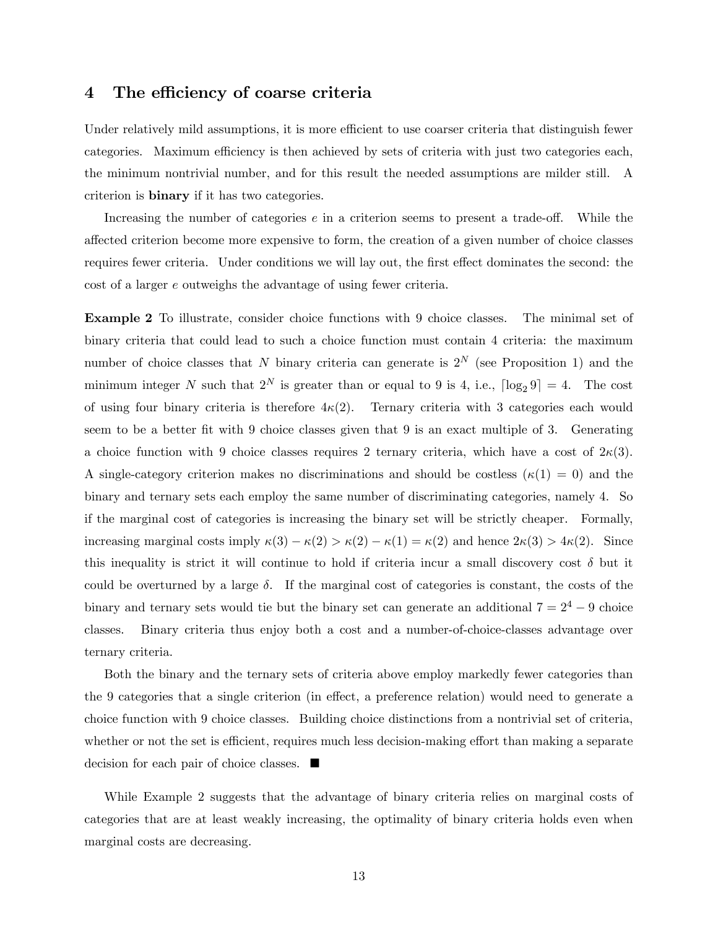### 4 The efficiency of coarse criteria

Under relatively mild assumptions, it is more efficient to use coarser criteria that distinguish fewer categories. Maximum efficiency is then achieved by sets of criteria with just two categories each, the minimum nontrivial number, and for this result the needed assumptions are milder still. A criterion is binary if it has two categories.

Increasing the number of categories  $e$  in a criterion seems to present a trade-off. While the a§ected criterion become more expensive to form, the creation of a given number of choice classes requires fewer criteria. Under conditions we will lay out, the first effect dominates the second: the cost of a larger e outweighs the advantage of using fewer criteria.

Example 2 To illustrate, consider choice functions with 9 choice classes. The minimal set of binary criteria that could lead to such a choice function must contain 4 criteria: the maximum number of choice classes that N binary criteria can generate is  $2^N$  (see Proposition 1) and the minimum integer N such that  $2^N$  is greater than or equal to 9 is 4, i.e.,  $\lceil \log_2 9 \rceil = 4$ . The cost of using four binary criteria is therefore  $4\kappa(2)$ . Ternary criteria with 3 categories each would seem to be a better fit with 9 choice classes given that 9 is an exact multiple of 3. Generating a choice function with 9 choice classes requires 2 ternary criteria, which have a cost of  $2\kappa(3)$ . A single-category criterion makes no discriminations and should be costless  $(\kappa(1) = 0)$  and the binary and ternary sets each employ the same number of discriminating categories, namely 4. So if the marginal cost of categories is increasing the binary set will be strictly cheaper. Formally, increasing marginal costs imply  $\kappa(3) - \kappa(2) > \kappa(2) - \kappa(1) = \kappa(2)$  and hence  $2\kappa(3) > 4\kappa(2)$ . Since this inequality is strict it will continue to hold if criteria incur a small discovery cost  $\delta$  but it could be overturned by a large  $\delta$ . If the marginal cost of categories is constant, the costs of the binary and ternary sets would tie but the binary set can generate an additional  $7 = 2^4 - 9$  choice classes. Binary criteria thus enjoy both a cost and a number-of-choice-classes advantage over ternary criteria.

Both the binary and the ternary sets of criteria above employ markedly fewer categories than the 9 categories that a single criterion (in effect, a preference relation) would need to generate a choice function with 9 choice classes. Building choice distinctions from a nontrivial set of criteria, whether or not the set is efficient, requires much less decision-making effort than making a separate decision for each pair of choice classes.

While Example 2 suggests that the advantage of binary criteria relies on marginal costs of categories that are at least weakly increasing, the optimality of binary criteria holds even when marginal costs are decreasing.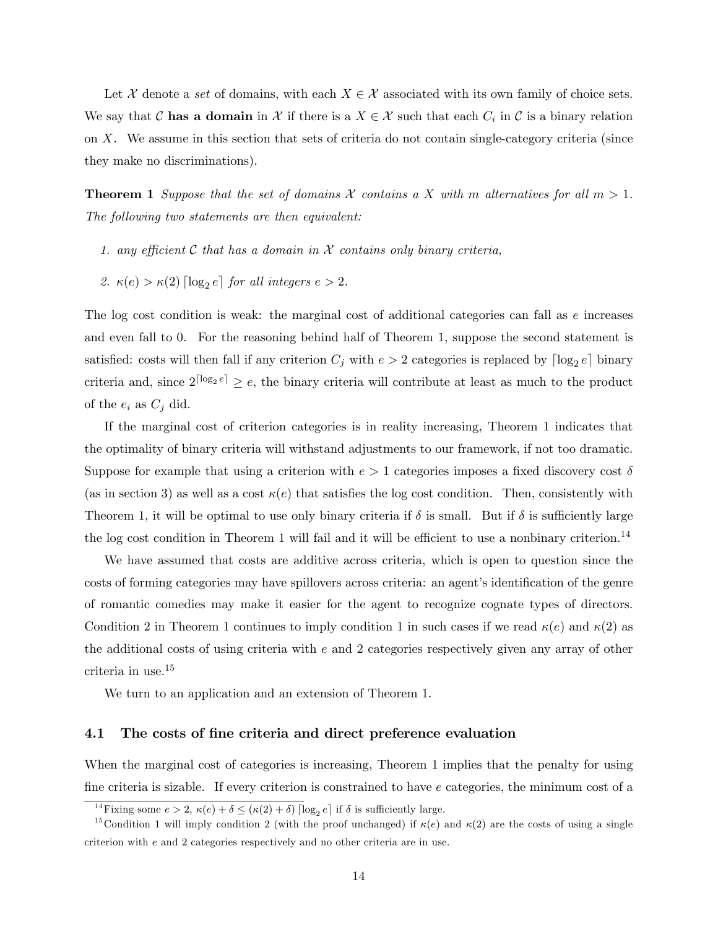Let X denote a set of domains, with each  $X \in \mathcal{X}$  associated with its own family of choice sets. We say that C has a domain in X if there is a  $X \in \mathcal{X}$  such that each  $C_i$  in C is a binary relation on X. We assume in this section that sets of criteria do not contain single-category criteria (since they make no discriminations).

**Theorem 1** Suppose that the set of domains X contains a X with m alternatives for all  $m > 1$ . The following two statements are then equivalent:

- 1. any efficient C that has a domain in X contains only binary criteria,
- 2.  $\kappa(e) > \kappa(2) \lceil \log_2 e \rceil$  for all integers  $e > 2$ .

The log cost condition is weak: the marginal cost of additional categories can fall as e increases and even fall to 0. For the reasoning behind half of Theorem 1, suppose the second statement is satisfied: costs will then fall if any criterion  $C_j$  with  $e > 2$  categories is replaced by  $\lceil \log_2 e \rceil$  binary criteria and, since  $2^{\lceil \log_2 e \rceil} \geq e$ , the binary criteria will contribute at least as much to the product of the  $e_i$  as  $C_j$  did.

If the marginal cost of criterion categories is in reality increasing, Theorem 1 indicates that the optimality of binary criteria will withstand adjustments to our framework, if not too dramatic. Suppose for example that using a criterion with  $e > 1$  categories imposes a fixed discovery cost  $\delta$ (as in section 3) as well as a cost  $\kappa(e)$  that satisfies the log cost condition. Then, consistently with Theorem 1, it will be optimal to use only binary criteria if  $\delta$  is small. But if  $\delta$  is sufficiently large the log cost condition in Theorem 1 will fail and it will be efficient to use a nonbinary criterion.<sup>14</sup>

We have assumed that costs are additive across criteria, which is open to question since the costs of forming categories may have spillovers across criteria: an agent's identification of the genre of romantic comedies may make it easier for the agent to recognize cognate types of directors. Condition 2 in Theorem 1 continues to imply condition 1 in such cases if we read  $\kappa(e)$  and  $\kappa(2)$  as the additional costs of using criteria with e and 2 categories respectively given any array of other criteria in use.<sup>15</sup>

We turn to an application and an extension of Theorem 1.

#### 4.1 The costs of fine criteria and direct preference evaluation

When the marginal cost of categories is increasing, Theorem 1 implies that the penalty for using fine criteria is sizable. If every criterion is constrained to have e categories, the minimum cost of a

<sup>&</sup>lt;sup>14</sup> Fixing some  $e > 2$ ,  $\kappa(e) + \delta \leq (\kappa(2) + \delta) \lceil \log_2 e \rceil$  if  $\delta$  is sufficiently large.

<sup>&</sup>lt;sup>15</sup>Condition 1 will imply condition 2 (with the proof unchanged) if  $\kappa(e)$  and  $\kappa(2)$  are the costs of using a single criterion with e and 2 categories respectively and no other criteria are in use.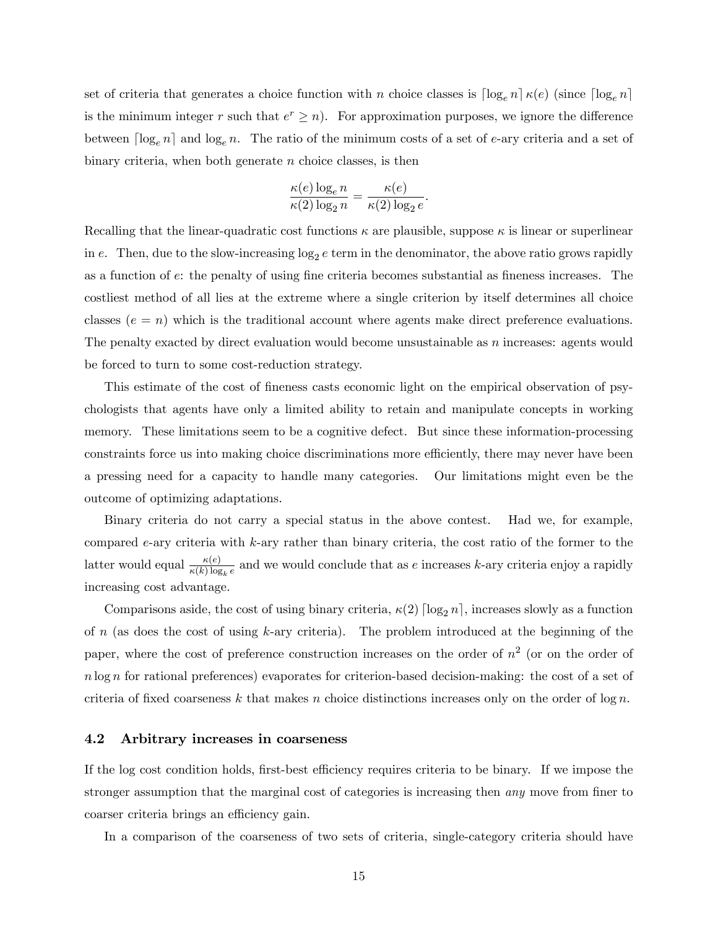set of criteria that generates a choice function with n choice classes is  $\lceil \log_e n \rceil \kappa(e)$  (since  $\lceil \log_e n \rceil$ is the minimum integer r such that  $e^r \geq n$ . For approximation purposes, we ignore the difference between  $\lceil \log_e n \rceil$  and  $\log_e n$ . The ratio of the minimum costs of a set of e-ary criteria and a set of binary criteria, when both generate  $n$  choice classes, is then

$$
\frac{\kappa(e) \log_e n}{\kappa(2) \log_2 n} = \frac{\kappa(e)}{\kappa(2) \log_2 e}.
$$

Recalling that the linear-quadratic cost functions  $\kappa$  are plausible, suppose  $\kappa$  is linear or superlinear in e. Then, due to the slow-increasing  $log_2 e$  term in the denominator, the above ratio grows rapidly as a function of  $e$ : the penalty of using fine criteria becomes substantial as fineness increases. The costliest method of all lies at the extreme where a single criterion by itself determines all choice classes  $(e = n)$  which is the traditional account where agents make direct preference evaluations. The penalty exacted by direct evaluation would become unsustainable as n increases: agents would be forced to turn to some cost-reduction strategy.

This estimate of the cost of fineness casts economic light on the empirical observation of psychologists that agents have only a limited ability to retain and manipulate concepts in working memory. These limitations seem to be a cognitive defect. But since these information-processing constraints force us into making choice discriminations more efficiently, there may never have been a pressing need for a capacity to handle many categories. Our limitations might even be the outcome of optimizing adaptations.

Binary criteria do not carry a special status in the above contest. Had we, for example, compared e-ary criteria with k-ary rather than binary criteria, the cost ratio of the former to the latter would equal  $\frac{\kappa(e)}{\kappa(k) \log_k e}$  and we would conclude that as e increases k-ary criteria enjoy a rapidly increasing cost advantage.

Comparisons aside, the cost of using binary criteria,  $\kappa(2)$  [log<sub>2</sub> n], increases slowly as a function of  $n$  (as does the cost of using  $k$ -ary criteria). The problem introduced at the beginning of the paper, where the cost of preference construction increases on the order of  $n^2$  (or on the order of n log n for rational preferences) evaporates for criterion-based decision-making: the cost of a set of criteria of fixed coarseness k that makes n choice distinctions increases only on the order of  $\log n$ .

#### 4.2 Arbitrary increases in coarseness

If the log cost condition holds, first-best efficiency requires criteria to be binary. If we impose the stronger assumption that the marginal cost of categories is increasing then *any* move from finer to coarser criteria brings an efficiency gain.

In a comparison of the coarseness of two sets of criteria, single-category criteria should have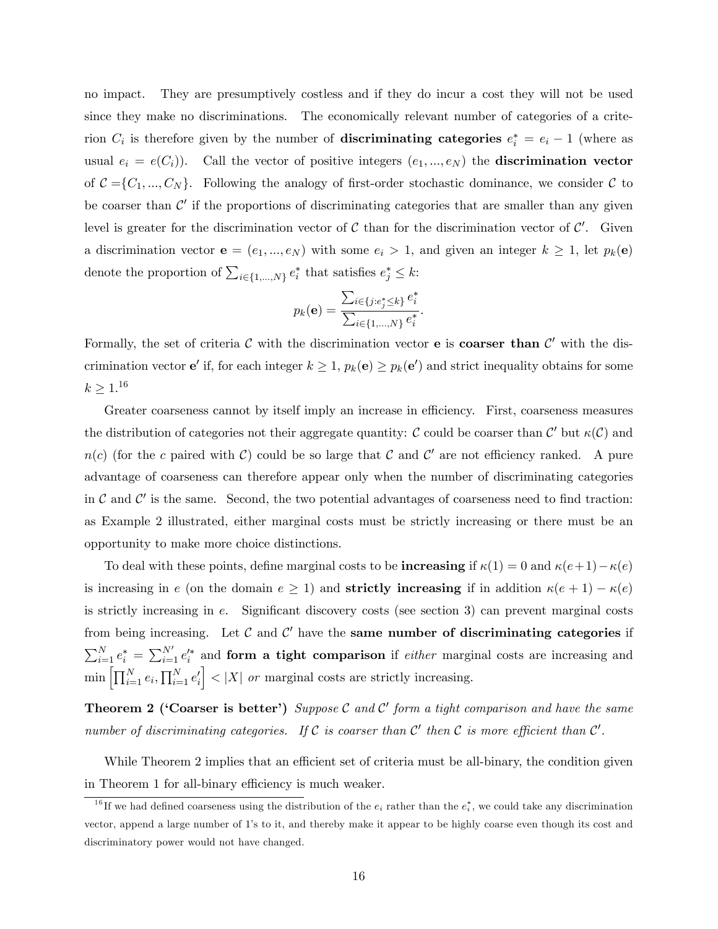no impact. They are presumptively costless and if they do incur a cost they will not be used since they make no discriminations. The economically relevant number of categories of a criterion  $C_i$  is therefore given by the number of **discriminating categories**  $e_i^* = e_i - 1$  (where as usual  $e_i = e(C_i)$ ). Call the vector of positive integers  $(e_1, ..., e_N)$  the **discrimination vector** of  $C = \{C_1, ..., C_N\}$ . Following the analogy of first-order stochastic dominance, we consider C to be coarser than  $\mathcal{C}'$  if the proportions of discriminating categories that are smaller than any given level is greater for the discrimination vector of  $C$  than for the discrimination vector of  $C'$ . Given a discrimination vector  $e = (e_1, ..., e_N)$  with some  $e_i > 1$ , and given an integer  $k \ge 1$ , let  $p_k(e)$ denote the proportion of  $\sum_{i \in \{1,\dots,N\}} e_i^*$  that satisfies  $e_j^* \leq k$ :

$$
p_k(\mathbf{e}) = \frac{\sum_{i \in \{j : e_j^* \leq k\}} e_i^*}{\sum_{i \in \{1, \dots, N\}} e_i^*}.
$$

Formally, the set of criteria C with the discrimination vector **e** is **coarser than**  $C'$  with the discrimination vector **e'** if, for each integer  $k \geq 1$ ,  $p_k(e) \geq p_k(e')$  and strict inequality obtains for some  $k \geq 1.^{16}$ 

Greater coarseness cannot by itself imply an increase in efficiency. First, coarseness measures the distribution of categories not their aggregate quantity: C could be coarser than  $\mathcal{C}'$  but  $\kappa(\mathcal{C})$  and  $n(c)$  (for the c paired with C) could be so large that C and C' are not efficiency ranked. A pure advantage of coarseness can therefore appear only when the number of discriminating categories in  $\mathcal C$  and  $\mathcal C'$  is the same. Second, the two potential advantages of coarseness need to find traction: as Example 2 illustrated, either marginal costs must be strictly increasing or there must be an opportunity to make more choice distinctions.

To deal with these points, define marginal costs to be **increasing** if  $\kappa(1) = 0$  and  $\kappa(e + 1) - \kappa(e)$ is increasing in e (on the domain  $e \ge 1$ ) and **strictly increasing** if in addition  $\kappa(e + 1) - \kappa(e)$ is strictly increasing in  $e$ . Significant discovery costs (see section 3) can prevent marginal costs from being increasing. Let  $\mathcal C$  and  $\mathcal C'$  have the same number of discriminating categories if  $\sum_{i=1}^{N} e_i^* = \sum_{i=1}^{N'} e_i'^*$  and form a tight comparison if *either* marginal costs are increasing and  $\min \left[ \prod_{i=1}^N e_i, \prod_{i=1}^N e'_i \right]$  $\vert \vert < \vert X \vert$  or marginal costs are strictly increasing.

**Theorem 2 ('Coarser is better')** Suppose C and C' form a tight comparison and have the same number of discriminating categories. If  $C$  is coarser than  $C'$  then  $C$  is more efficient than  $C'$ .

While Theorem 2 implies that an efficient set of criteria must be all-binary, the condition given in Theorem 1 for all-binary efficiency is much weaker.

<sup>&</sup>lt;sup>16</sup>If we had defined coarseness using the distribution of the  $e_i$  rather than the  $e_i^*$ , we could take any discrimination vector, append a large number of 1ís to it, and thereby make it appear to be highly coarse even though its cost and discriminatory power would not have changed.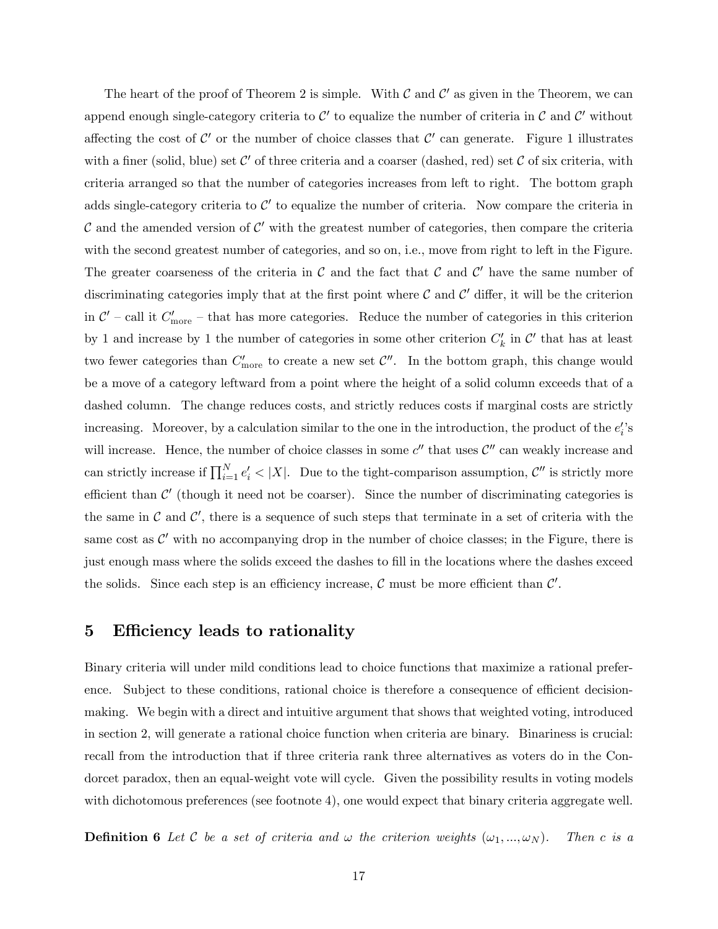The heart of the proof of Theorem 2 is simple. With  $C$  and  $C'$  as given in the Theorem, we can append enough single-category criteria to  $\mathcal{C}'$  to equalize the number of criteria in  $\mathcal{C}$  and  $\mathcal{C}'$  without affecting the cost of  $\mathcal{C}'$  or the number of choice classes that  $\mathcal{C}'$  can generate. Figure 1 illustrates with a finer (solid, blue) set  $\mathcal{C}'$  of three criteria and a coarser (dashed, red) set  $\mathcal C$  of six criteria, with criteria arranged so that the number of categories increases from left to right. The bottom graph adds single-category criteria to  $\mathcal{C}'$  to equalize the number of criteria. Now compare the criteria in C and the amended version of C' with the greatest number of categories, then compare the criteria with the second greatest number of categories, and so on, i.e., move from right to left in the Figure. The greater coarseness of the criteria in  $\mathcal C$  and the fact that  $\mathcal C$  and  $\mathcal C'$  have the same number of discriminating categories imply that at the first point where  $C$  and  $C'$  differ, it will be the criterion in  $\mathcal{C}'$  – call it  $C'_{\text{more}}$  – that has more categories. Reduce the number of categories in this criterion by 1 and increase by 1 the number of categories in some other criterion  $C'_{k}$  in  $\mathcal{C}'$  that has at least two fewer categories than  $C'_{\text{more}}$  to create a new set  $C''$ . In the bottom graph, this change would be a move of a category leftward from a point where the height of a solid column exceeds that of a dashed column. The change reduces costs, and strictly reduces costs if marginal costs are strictly increasing. Moreover, by a calculation similar to the one in the introduction, the product of the  $e_i$ 's will increase. Hence, the number of choice classes in some  $c''$  that uses  $c''$  can weakly increase and can strictly increase if  $\prod_{i=1}^{N} e'_i < |X|$ . Due to the tight-comparison assumption,  $\mathcal{C}''$  is strictly more efficient than  $\mathcal{C}'$  (though it need not be coarser). Since the number of discriminating categories is the same in  $\mathcal C$  and  $\mathcal C'$ , there is a sequence of such steps that terminate in a set of criteria with the same cost as  $\mathcal{C}'$  with no accompanying drop in the number of choice classes; in the Figure, there is just enough mass where the solids exceed the dashes to fill in the locations where the dashes exceed the solids. Since each step is an efficiency increase,  $\mathcal C$  must be more efficient than  $\mathcal C'$ .

## 5 Efficiency leads to rationality

Binary criteria will under mild conditions lead to choice functions that maximize a rational preference. Subject to these conditions, rational choice is therefore a consequence of efficient decisionmaking. We begin with a direct and intuitive argument that shows that weighted voting, introduced in section 2, will generate a rational choice function when criteria are binary. Binariness is crucial: recall from the introduction that if three criteria rank three alternatives as voters do in the Condorcet paradox, then an equal-weight vote will cycle. Given the possibility results in voting models with dichotomous preferences (see footnote 4), one would expect that binary criteria aggregate well.

**Definition 6** Let C be a set of criteria and  $\omega$  the criterion weights  $(\omega_1, ..., \omega_N)$ . Then c is a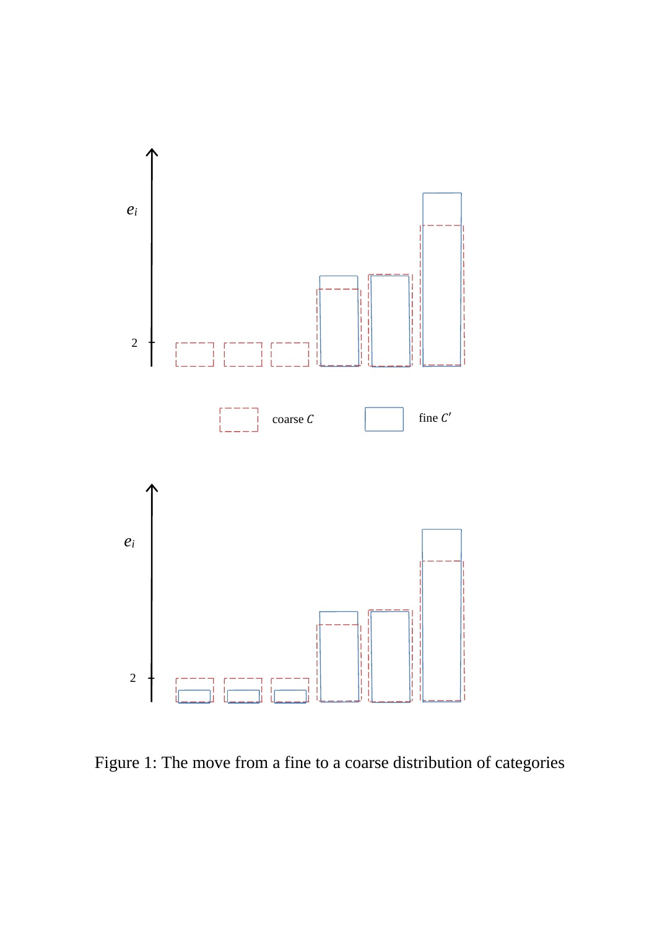

Figure 1: The move from a fine to a coarse distribution of categories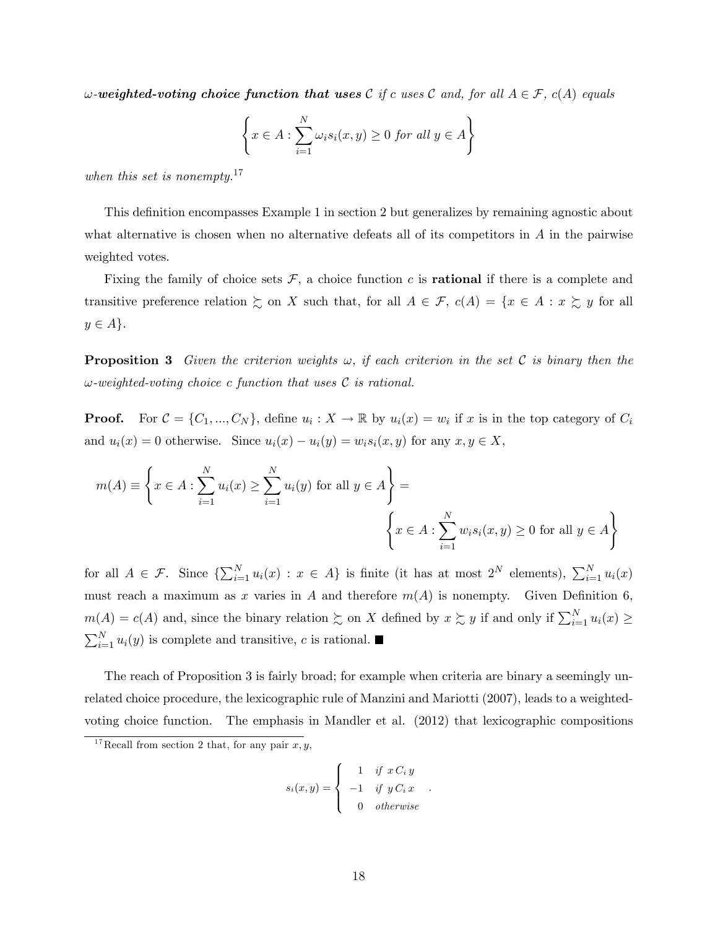w-weighted-voting choice function that uses C if c uses C and, for all  $A \in \mathcal{F}$ ,  $c(A)$  equals

$$
\left\{ x \in A : \sum_{i=1}^{N} \omega_i s_i(x, y) \ge 0 \text{ for all } y \in A \right\}
$$

when this set is nonempty.<sup>17</sup>

This definition encompasses Example 1 in section 2 but generalizes by remaining agnostic about what alternative is chosen when no alternative defeats all of its competitors in A in the pairwise weighted votes.

Fixing the family of choice sets  $\mathcal{F}$ , a choice function c is **rational** if there is a complete and transitive preference relation  $\succsim$  on X such that, for all  $A \in \mathcal{F}$ ,  $c(A) = \{x \in A : x \succsim y \text{ for all }$  $y \in A$ .

**Proposition 3** Given the criterion weights  $\omega$ , if each criterion in the set C is binary then the  $\omega$ -weighted-voting choice c function that uses  $\mathcal C$  is rational.

**Proof.** For  $C = \{C_1, ..., C_N\}$ , define  $u_i : X \to \mathbb{R}$  by  $u_i(x) = w_i$  if x is in the top category of  $C_i$ and  $u_i(x) = 0$  otherwise. Since  $u_i(x) - u_i(y) = w_i s_i(x, y)$  for any  $x, y \in X$ ,

$$
m(A) \equiv \left\{ x \in A : \sum_{i=1}^{N} u_i(x) \ge \sum_{i=1}^{N} u_i(y) \text{ for all } y \in A \right\} = \left\{ x \in A : \sum_{i=1}^{N} w_i s_i(x, y) \ge 0 \text{ for all } y \in A \right\}
$$

for all  $A \in \mathcal{F}$ . Since  $\{\sum_{i=1}^{N} u_i(x) : x \in A\}$  is finite (it has at most  $2^N$  elements),  $\sum_{i=1}^{N} u_i(x)$ must reach a maximum as x varies in A and therefore  $m(A)$  is nonempty. Given Definition 6,  $m(A) = c(A)$  and, since the binary relation  $\succsim$  on X defined by  $x \succsim y$  if and only if  $\sum_{i=1}^{N} u_i(x) \ge$  $\sum_{i=1}^{N} u_i(y)$  is complete and transitive, c is rational.

The reach of Proposition 3 is fairly broad; for example when criteria are binary a seemingly unrelated choice procedure, the lexicographic rule of Manzini and Mariotti (2007), leads to a weightedvoting choice function. The emphasis in Mandler et al. (2012) that lexicographic compositions

$$
s_i(x, y) = \begin{cases} 1 & \text{if } x \, C_i \, y \\ -1 & \text{if } y \, C_i \, x \\ 0 & \text{otherwise} \end{cases}
$$

.

<sup>&</sup>lt;sup>17</sup>Recall from section 2 that, for any pair  $x, y$ ,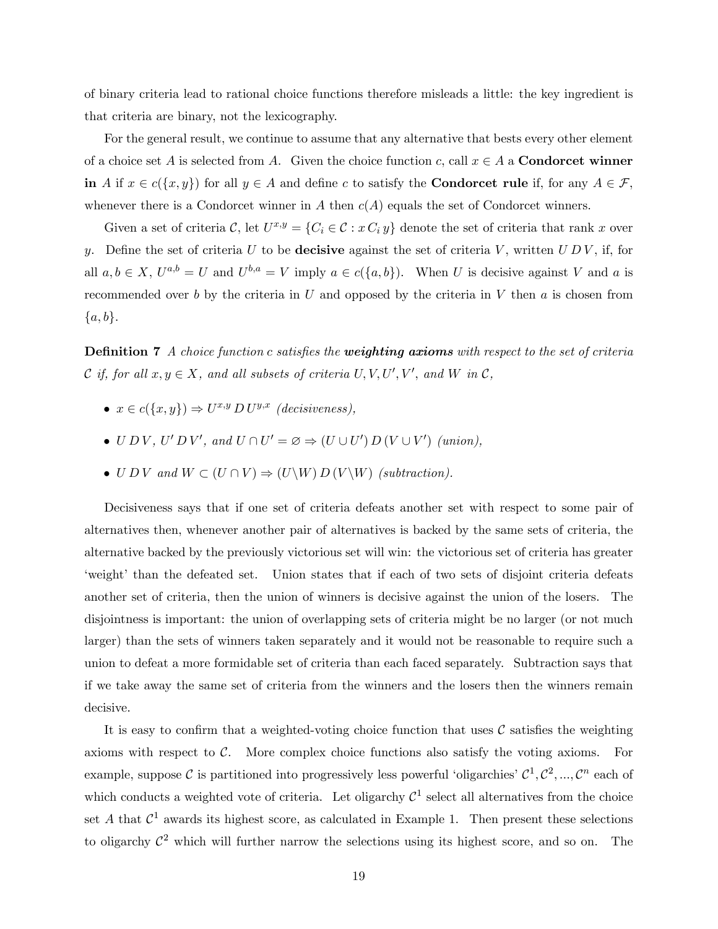of binary criteria lead to rational choice functions therefore misleads a little: the key ingredient is that criteria are binary, not the lexicography.

For the general result, we continue to assume that any alternative that bests every other element of a choice set A is selected from A. Given the choice function c, call  $x \in A$  a **Condorcet winner** in A if  $x \in c({x, y})$  for all  $y \in A$  and define c to satisfy the **Condorcet rule** if, for any  $A \in \mathcal{F}$ , whenever there is a Condorcet winner in A then  $c(A)$  equals the set of Condorcet winners.

Given a set of criteria  $\mathcal{C}$ , let  $U^{x,y} = \{C_i \in \mathcal{C} : x \, C_i \, y\}$  denote the set of criteria that rank x over y. Define the set of criteria U to be **decisive** against the set of criteria V, written  $U D V$ , if, for all  $a, b \in X$ ,  $U^{a,b} = U$  and  $U^{b,a} = V$  imply  $a \in c({a,b})$ . When U is decisive against V and a is recommended over b by the criteria in U and opposed by the criteria in V then  $a$  is chosen from  $\{a, b\}.$ 

**Definition 7** A choice function c satisfies the **weighting axioms** with respect to the set of criteria  $\mathcal C$  if, for all  $x, y \in X$ , and all subsets of criteria  $U, V, U', V'$ , and  $W$  in  $\mathcal C$ ,

- $x \in c({x, y}) \Rightarrow U^{x,y} D U^{y,x}$  (decisiveness),
- $U D V$ ,  $U' D V'$ , and  $U \cap U' = \varnothing \Rightarrow (U \cup U') D (V \cup V')$  (union),
- $\bullet$  U D V and  $W \subset (U \cap V) \Rightarrow (U \backslash W) D (V \backslash W)$  (subtraction).

Decisiveness says that if one set of criteria defeats another set with respect to some pair of alternatives then, whenever another pair of alternatives is backed by the same sets of criteria, the alternative backed by the previously victorious set will win: the victorious set of criteria has greater weight' than the defeated set. Union states that if each of two sets of disjoint criteria defeats another set of criteria, then the union of winners is decisive against the union of the losers. The disjointness is important: the union of overlapping sets of criteria might be no larger (or not much larger) than the sets of winners taken separately and it would not be reasonable to require such a union to defeat a more formidable set of criteria than each faced separately. Subtraction says that if we take away the same set of criteria from the winners and the losers then the winners remain decisive.

It is easy to confirm that a weighted-voting choice function that uses  $\mathcal C$  satisfies the weighting axioms with respect to  $\mathcal{C}$ . More complex choice functions also satisfy the voting axioms. For example, suppose C is partitioned into progressively less powerful 'oligarchies'  $C^1, C^2, ..., C^n$  each of which conducts a weighted vote of criteria. Let oligarchy  $\mathcal{C}^1$  select all alternatives from the choice set A that  $\mathcal{C}^1$  awards its highest score, as calculated in Example 1. Then present these selections to oligarchy  $\mathcal{C}^2$  which will further narrow the selections using its highest score, and so on. The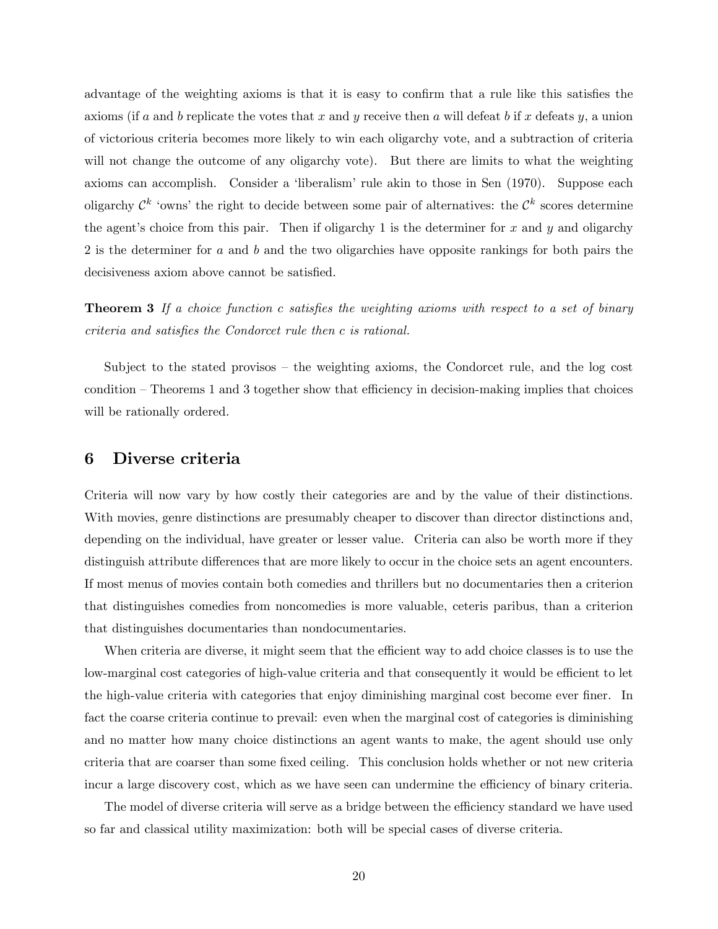advantage of the weighting axioms is that it is easy to confirm that a rule like this satisfies the axioms (if a and b replicate the votes that x and y receive then a will defeat b if x defeats y, a union of victorious criteria becomes more likely to win each oligarchy vote, and a subtraction of criteria will not change the outcome of any oligarchy vote). But there are limits to what the weighting axioms can accomplish. Consider a 'liberalism' rule akin to those in Sen (1970). Suppose each oligarchy  $\mathcal{C}^k$  'owns' the right to decide between some pair of alternatives: the  $\mathcal{C}^k$  scores determine the agent's choice from this pair. Then if oligarchy 1 is the determiner for x and y and oligarchy 2 is the determiner for a and b and the two oligarchies have opposite rankings for both pairs the decisiveness axiom above cannot be satisfied.

**Theorem 3** If a choice function c satisfies the weighting axioms with respect to a set of binary criteria and satisfies the Condorcet rule then c is rational.

Subject to the stated provisos  $-$  the weighting axioms, the Condorcet rule, and the log cost condition  $\overline{\phantom{a}}$ -Theorems 1 and 3 together show that efficiency in decision-making implies that choices will be rationally ordered.

# 6 Diverse criteria

Criteria will now vary by how costly their categories are and by the value of their distinctions. With movies, genre distinctions are presumably cheaper to discover than director distinctions and, depending on the individual, have greater or lesser value. Criteria can also be worth more if they distinguish attribute differences that are more likely to occur in the choice sets an agent encounters. If most menus of movies contain both comedies and thrillers but no documentaries then a criterion that distinguishes comedies from noncomedies is more valuable, ceteris paribus, than a criterion that distinguishes documentaries than nondocumentaries.

When criteria are diverse, it might seem that the efficient way to add choice classes is to use the low-marginal cost categories of high-value criteria and that consequently it would be efficient to let the high-value criteria with categories that enjoy diminishing marginal cost become ever finer. In fact the coarse criteria continue to prevail: even when the marginal cost of categories is diminishing and no matter how many choice distinctions an agent wants to make, the agent should use only criteria that are coarser than some fixed ceiling. This conclusion holds whether or not new criteria incur a large discovery cost, which as we have seen can undermine the efficiency of binary criteria.

The model of diverse criteria will serve as a bridge between the efficiency standard we have used so far and classical utility maximization: both will be special cases of diverse criteria.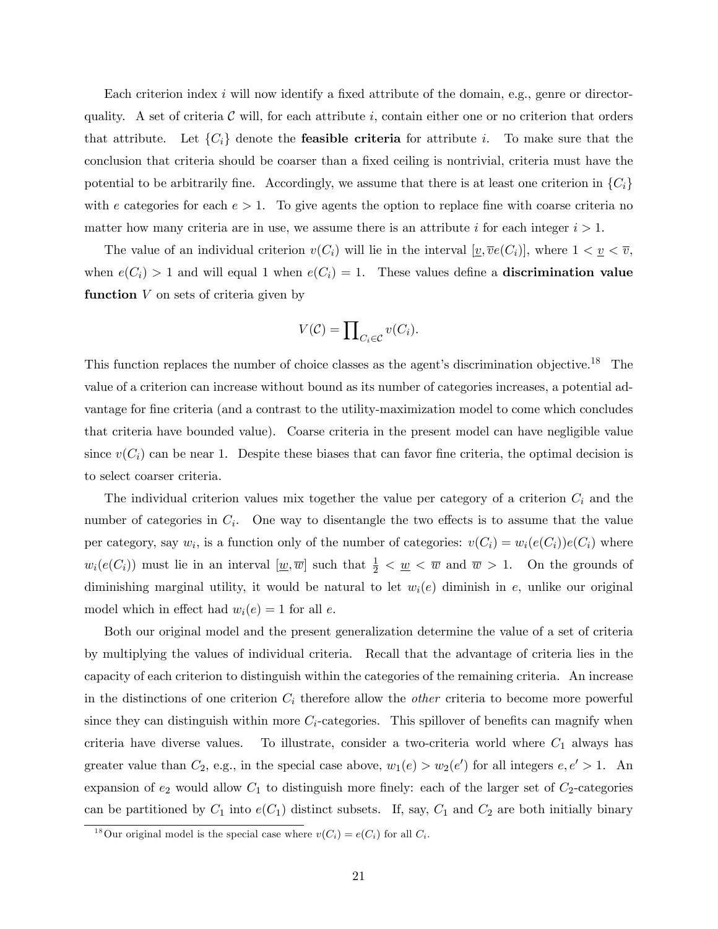Each criterion index  $i$  will now identify a fixed attribute of the domain, e.g., genre or directorquality. A set of criteria  $\mathcal C$  will, for each attribute i, contain either one or no criterion that orders that attribute. Let  $\{C_i\}$  denote the **feasible criteria** for attribute i. To make sure that the conclusion that criteria should be coarser than a fixed ceiling is nontrivial, criteria must have the potential to be arbitrarily fine. Accordingly, we assume that there is at least one criterion in  $\{C_i\}$ with e categories for each  $e > 1$ . To give agents the option to replace fine with coarse criteria no matter how many criteria are in use, we assume there is an attribute i for each integer  $i > 1$ .

The value of an individual criterion  $v(C_i)$  will lie in the interval  $[v, \overline{v}e(C_i)]$ , where  $1 < v \leq \overline{v}$ , when  $e(C_i) > 1$  and will equal 1 when  $e(C_i) = 1$ . These values define a **discrimination value** function  $V$  on sets of criteria given by

$$
V(\mathcal{C}) = \prod_{C_i \in \mathcal{C}} v(C_i).
$$

This function replaces the number of choice classes as the agent's discrimination objective.<sup>18</sup> The value of a criterion can increase without bound as its number of categories increases, a potential advantage for fine criteria (and a contrast to the utility-maximization model to come which concludes that criteria have bounded value). Coarse criteria in the present model can have negligible value since  $v(C_i)$  can be near 1. Despite these biases that can favor fine criteria, the optimal decision is to select coarser criteria.

The individual criterion values mix together the value per category of a criterion  $C_i$  and the number of categories in  $C_i$ . One way to disentangle the two effects is to assume that the value per category, say  $w_i$ , is a function only of the number of categories:  $v(C_i) = w_i(e(C_i))e(C_i)$  where  $w_i(e(C_i))$  must lie in an interval  $[\underline{w}, \overline{w}]$  such that  $\frac{1}{2} < \underline{w} < \overline{w}$  and  $\overline{w} > 1$ . On the grounds of diminishing marginal utility, it would be natural to let  $w_i(e)$  diminish in e, unlike our original model which in effect had  $w_i(e) = 1$  for all e.

Both our original model and the present generalization determine the value of a set of criteria by multiplying the values of individual criteria. Recall that the advantage of criteria lies in the capacity of each criterion to distinguish within the categories of the remaining criteria. An increase in the distinctions of one criterion  $C_i$  therefore allow the *other* criteria to become more powerful since they can distinguish within more  $C_i$ -categories. This spillover of benefits can magnify when criteria have diverse values. To illustrate, consider a two-criteria world where  $C_1$  always has greater value than  $C_2$ , e.g., in the special case above,  $w_1(e) > w_2(e')$  for all integers  $e, e' > 1$ . An expansion of  $e_2$  would allow  $C_1$  to distinguish more finely: each of the larger set of  $C_2$ -categories can be partitioned by  $C_1$  into  $e(C_1)$  distinct subsets. If, say,  $C_1$  and  $C_2$  are both initially binary

<sup>&</sup>lt;sup>18</sup>Our original model is the special case where  $v(C_i) = e(C_i)$  for all  $C_i$ .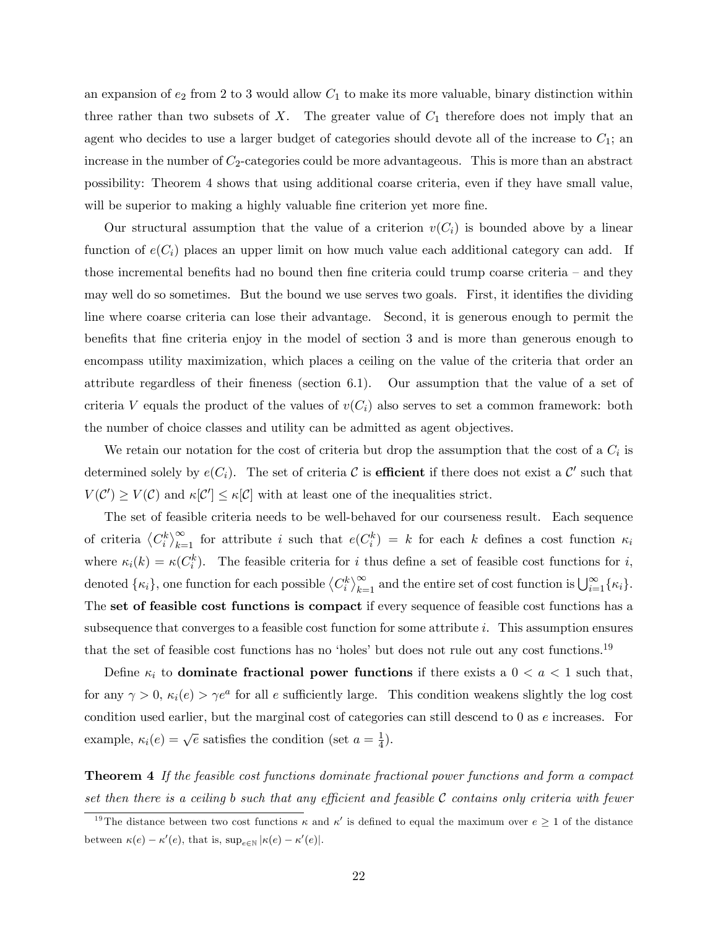an expansion of  $e_2$  from 2 to 3 would allow  $C_1$  to make its more valuable, binary distinction within three rather than two subsets of  $X$ . The greater value of  $C_1$  therefore does not imply that an agent who decides to use a larger budget of categories should devote all of the increase to  $C_1$ ; an increase in the number of  $C_2$ -categories could be more advantageous. This is more than an abstract possibility: Theorem 4 shows that using additional coarse criteria, even if they have small value, will be superior to making a highly valuable fine criterion yet more fine.

Our structural assumption that the value of a criterion  $v(C_i)$  is bounded above by a linear function of  $e(C_i)$  places an upper limit on how much value each additional category can add. If those incremental benefits had no bound then fine criteria could trump coarse criteria  $-$  and they may well do so sometimes. But the bound we use serves two goals. First, it identifies the dividing line where coarse criteria can lose their advantage. Second, it is generous enough to permit the benefits that fine criteria enjoy in the model of section 3 and is more than generous enough to encompass utility maximization, which places a ceiling on the value of the criteria that order an attribute regardless of their Öneness (section 6.1). Our assumption that the value of a set of criteria V equals the product of the values of  $v(C_i)$  also serves to set a common framework: both the number of choice classes and utility can be admitted as agent objectives.

We retain our notation for the cost of criteria but drop the assumption that the cost of a  $C_i$  is determined solely by  $e(C_i)$ . The set of criteria C is **efficient** if there does not exist a C' such that  $V(C') \geq V(C)$  and  $\kappa[C'] \leq \kappa[C]$  with at least one of the inequalities strict.

The set of feasible criteria needs to be well-behaved for our courseness result. Each sequence of criteria  $\langle C_i^k \rangle_{k=1}^{\infty}$  for attribute i such that  $e(C_i^k) = k$  for each k defines a cost function  $\kappa_i$ where  $\kappa_i(k) = \kappa(C_i^k)$ . The feasible criteria for i thus define a set of feasible cost functions for i, denoted  $\{\kappa_i\}$ , one function for each possible  $\langle C_i^k \rangle_{k=1}^{\infty}$  and the entire set of cost function is  $\bigcup_{i=1}^{\infty} {\{\kappa_i\}}$ . The set of feasible cost functions is compact if every sequence of feasible cost functions has a subsequence that converges to a feasible cost function for some attribute i. This assumption ensures that the set of feasible cost functions has no 'holes' but does not rule out any cost functions.<sup>19</sup>

Define  $\kappa_i$  to dominate fractional power functions if there exists a  $0 < a < 1$  such that, for any  $\gamma > 0$ ,  $\kappa_i(e) > \gamma e^a$  for all e sufficiently large. This condition weakens slightly the log cost condition used earlier, but the marginal cost of categories can still descend to 0 as e increases. For example,  $\kappa_i(e) = \sqrt{e}$  satisfies the condition (set  $a = \frac{1}{4}$ )  $(\frac{1}{4})$ .

Theorem 4 If the feasible cost functions dominate fractional power functions and form a compact set then there is a ceiling b such that any efficient and feasible  $\mathcal C$  contains only criteria with fewer

<sup>&</sup>lt;sup>19</sup>The distance between two cost functions  $\kappa$  and  $\kappa'$  is defined to equal the maximum over  $e \ge 1$  of the distance between  $\kappa(e) - \kappa'(e)$ , that is,  $\sup_{e \in \mathbb{N}} |\kappa(e) - \kappa'(e)|$ .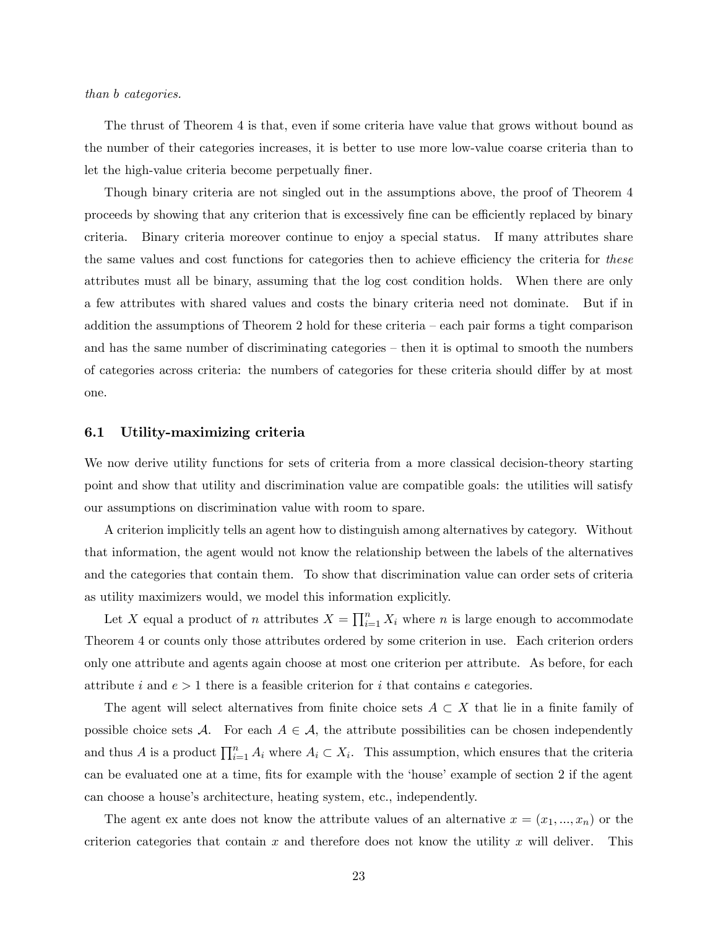#### than b categories.

The thrust of Theorem 4 is that, even if some criteria have value that grows without bound as the number of their categories increases, it is better to use more low-value coarse criteria than to let the high-value criteria become perpetually finer.

Though binary criteria are not singled out in the assumptions above, the proof of Theorem 4 proceeds by showing that any criterion that is excessively fine can be efficiently replaced by binary criteria. Binary criteria moreover continue to enjoy a special status. If many attributes share the same values and cost functions for categories then to achieve efficiency the criteria for these attributes must all be binary, assuming that the log cost condition holds. When there are only a few attributes with shared values and costs the binary criteria need not dominate. But if in addition the assumptions of Theorem 2 hold for these criteria  $-\operatorname{each}$  pair forms a tight comparison and has the same number of discriminating categories  $-$  then it is optimal to smooth the numbers of categories across criteria: the numbers of categories for these criteria should differ by at most one.

#### 6.1 Utility-maximizing criteria

We now derive utility functions for sets of criteria from a more classical decision-theory starting point and show that utility and discrimination value are compatible goals: the utilities will satisfy our assumptions on discrimination value with room to spare.

A criterion implicitly tells an agent how to distinguish among alternatives by category. Without that information, the agent would not know the relationship between the labels of the alternatives and the categories that contain them. To show that discrimination value can order sets of criteria as utility maximizers would, we model this information explicitly.

Let X equal a product of n attributes  $X = \prod_{i=1}^{n} X_i$  where n is large enough to accommodate Theorem 4 or counts only those attributes ordered by some criterion in use. Each criterion orders only one attribute and agents again choose at most one criterion per attribute. As before, for each attribute i and  $e > 1$  there is a feasible criterion for i that contains e categories.

The agent will select alternatives from finite choice sets  $A \subset X$  that lie in a finite family of possible choice sets  $A$ . For each  $A \in \mathcal{A}$ , the attribute possibilities can be chosen independently and thus A is a product  $\prod_{i=1}^n A_i$  where  $A_i \subset X_i$ . This assumption, which ensures that the criteria can be evaluated one at a time, fits for example with the 'house' example of section 2 if the agent can choose a house's architecture, heating system, etc., independently.

The agent ex ante does not know the attribute values of an alternative  $x = (x_1, ..., x_n)$  or the criterion categories that contain x and therefore does not know the utility x will deliver. This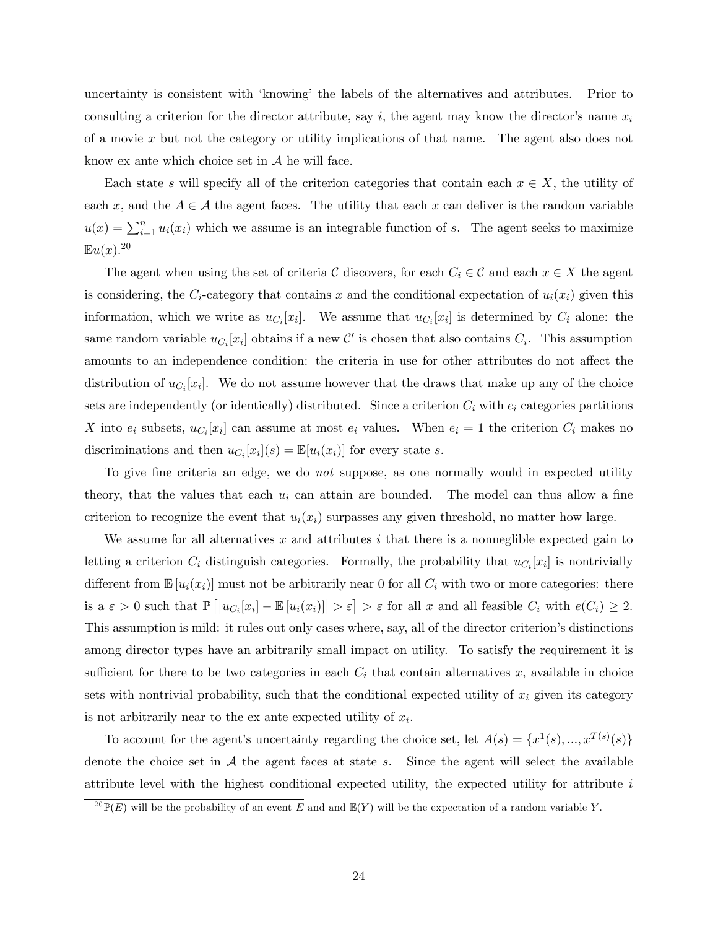uncertainty is consistent with ëknowingí the labels of the alternatives and attributes. Prior to consulting a criterion for the director attribute, say i, the agent may know the director's name  $x_i$ of a movie x but not the category or utility implications of that name. The agent also does not know ex ante which choice set in  $A$  he will face.

Each state s will specify all of the criterion categories that contain each  $x \in X$ , the utility of each x, and the  $A \in \mathcal{A}$  the agent faces. The utility that each x can deliver is the random variable  $u(x) = \sum_{i=1}^{n} u_i(x_i)$  which we assume is an integrable function of s. The agent seeks to maximize  $\mathbb{E}u(x).^{20}$ 

The agent when using the set of criteria C discovers, for each  $C_i \in \mathcal{C}$  and each  $x \in X$  the agent is considering, the  $C_i$ -category that contains x and the conditional expectation of  $u_i(x_i)$  given this information, which we write as  $u_{C_i}[x_i]$ . We assume that  $u_{C_i}[x_i]$  is determined by  $C_i$  alone: the same random variable  $u_{C_i}[x_i]$  obtains if a new  $\mathcal{C}'$  is chosen that also contains  $C_i$ . This assumption amounts to an independence condition: the criteria in use for other attributes do not affect the distribution of  $u_{C_i}[x_i]$ . We do not assume however that the draws that make up any of the choice sets are independently (or identically) distributed. Since a criterion  $C_i$  with  $e_i$  categories partitions X into  $e_i$  subsets,  $u_{C_i}[x_i]$  can assume at most  $e_i$  values. When  $e_i = 1$  the criterion  $C_i$  makes no discriminations and then  $u_{C_i}[x_i](s) = \mathbb{E}[u_i(x_i)]$  for every state s.

To give fine criteria an edge, we do *not* suppose, as one normally would in expected utility theory, that the values that each  $u_i$  can attain are bounded. The model can thus allow a fine criterion to recognize the event that  $u_i(x_i)$  surpasses any given threshold, no matter how large.

We assume for all alternatives x and attributes  $i$  that there is a nonneglible expected gain to letting a criterion  $C_i$  distinguish categories. Formally, the probability that  $u_{C_i}[x_i]$  is nontrivially different from  $\mathbb{E}[u_i(x_i)]$  must not be arbitrarily near 0 for all  $C_i$  with two or more categories: there is a  $\varepsilon > 0$  such that  $\mathbb{P}\left[\left|u_{C_i}[x_i] - \mathbb{E}\left[u_i(x_i)\right]\right| > \varepsilon\right] > \varepsilon$  for all x and all feasible  $C_i$  with  $e(C_i) \geq 2$ . This assumption is mild: it rules out only cases where, say, all of the director criterion's distinctions among director types have an arbitrarily small impact on utility. To satisfy the requirement it is sufficient for there to be two categories in each  $C_i$  that contain alternatives x, available in choice sets with nontrivial probability, such that the conditional expected utility of  $x_i$  given its category is not arbitrarily near to the ex ante expected utility of  $x_i$ .

To account for the agent's uncertainty regarding the choice set, let  $A(s) = \{x^1(s), ..., x^{T(s)}(s)\}\$ denote the choice set in  $A$  the agent faces at state s. Since the agent will select the available attribute level with the highest conditional expected utility, the expected utility for attribute i

 $^{20}$ P(E) will be the probability of an event E and and  $\mathbb{E}(Y)$  will be the expectation of a random variable Y.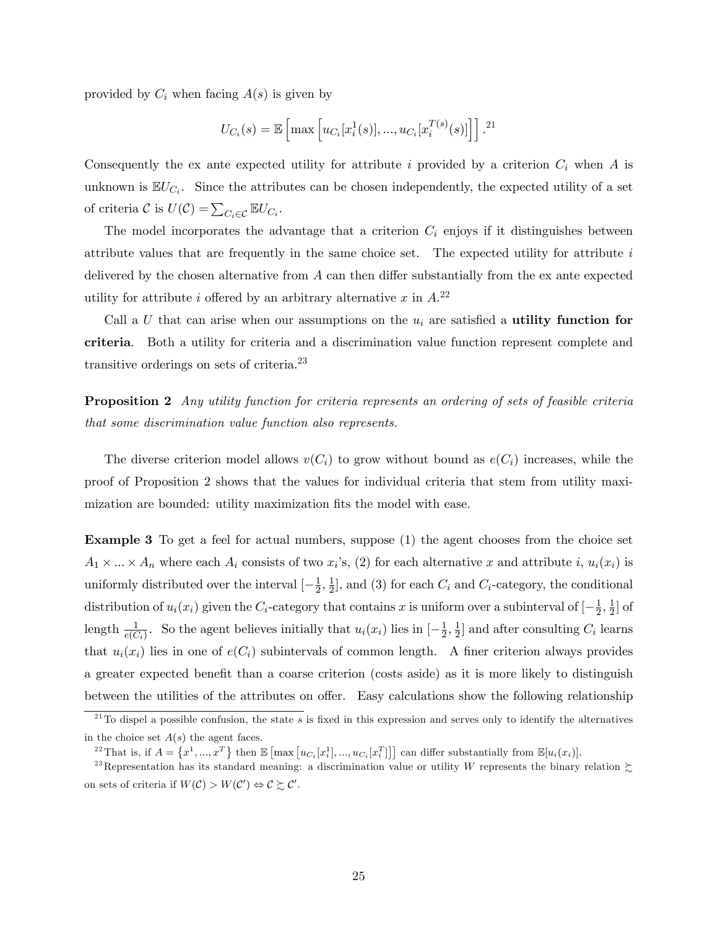provided by  $C_i$  when facing  $A(s)$  is given by

$$
U_{C_i}(s) = \mathbb{E}\left[\max\left[u_{C_i}[x_i^1(s)],...,u_{C_i}[x_i^{T(s)}(s)]\right]\right].^{21}
$$

Consequently the ex ante expected utility for attribute i provided by a criterion  $C_i$  when A is unknown is  $\mathbb{E}U_{C_i}$ . Since the attributes can be chosen independently, the expected utility of a set of criteria  $\mathcal{C}$  is  $U(\mathcal{C}) = \sum_{C_i \in \mathcal{C}} \mathbb{E} U_{C_i}$ .

The model incorporates the advantage that a criterion  $C_i$  enjoys if it distinguishes between attribute values that are frequently in the same choice set. The expected utility for attribute  $i$ delivered by the chosen alternative from  $A$  can then differ substantially from the ex ante expected utility for attribute i offered by an arbitrary alternative x in  $A^{22}$ 

Call a U that can arise when our assumptions on the  $u_i$  are satisfied a **utility function for** criteria. Both a utility for criteria and a discrimination value function represent complete and transitive orderings on sets of criteria.<sup>23</sup>

**Proposition 2** Any utility function for criteria represents an ordering of sets of feasible criteria that some discrimination value function also represents.

The diverse criterion model allows  $v(C_i)$  to grow without bound as  $e(C_i)$  increases, while the proof of Proposition 2 shows that the values for individual criteria that stem from utility maximization are bounded: utility maximization fits the model with ease.

Example 3 To get a feel for actual numbers, suppose (1) the agent chooses from the choice set  $A_1 \times ... \times A_n$  where each  $A_i$  consists of two  $x_i$ 's, (2) for each alternative x and attribute i,  $u_i(x_i)$  is uniformly distributed over the interval  $\left[-\frac{1}{2}\right]$  $\frac{1}{2}, \frac{1}{2}$  $\frac{1}{2}$ , and (3) for each  $C_i$  and  $C_i$ -category, the conditional distribution of  $u_i(x_i)$  given the  $C_i$ -category that contains x is uniform over a subinterval of  $\left[-\frac{1}{2}\right]$  $\frac{1}{2}, \frac{1}{2}$  $\frac{1}{2}$  of length  $\frac{1}{e(C_i)}$ . So the agent believes initially that  $u_i(x_i)$  lies in  $\left[-\frac{1}{2}\right]$  $\frac{1}{2}, \frac{1}{2}$  $\frac{1}{2}$  and after consulting  $C_i$  learns that  $u_i(x_i)$  lies in one of  $e(C_i)$  subintervals of common length. A finer criterion always provides a greater expected benefit than a coarse criterion (costs aside) as it is more likely to distinguish between the utilities of the attributes on offer. Easy calculations show the following relationship

 $^{21}$ To dispel a possible confusion, the state s is fixed in this expression and serves only to identify the alternatives in the choice set  $A(s)$  the agent faces.

<sup>&</sup>lt;sup>22</sup>That is, if  $A = \{x^1, ..., x^T\}$  then  $\mathbb{E}\left[\max\left[u_{C_i}[x_i^1], ..., u_{C_i}[x_i^T]\right]\right]$  can differ substantially from  $\mathbb{E}[u_i(x_i)]$ .

<sup>&</sup>lt;sup>23</sup>Representation has its standard meaning: a discrimination value or utility W represents the binary relation  $\zeta$ on sets of criteria if  $W(\mathcal{C}) > W(\mathcal{C}') \Leftrightarrow \mathcal{C} \succsim \mathcal{C}'.$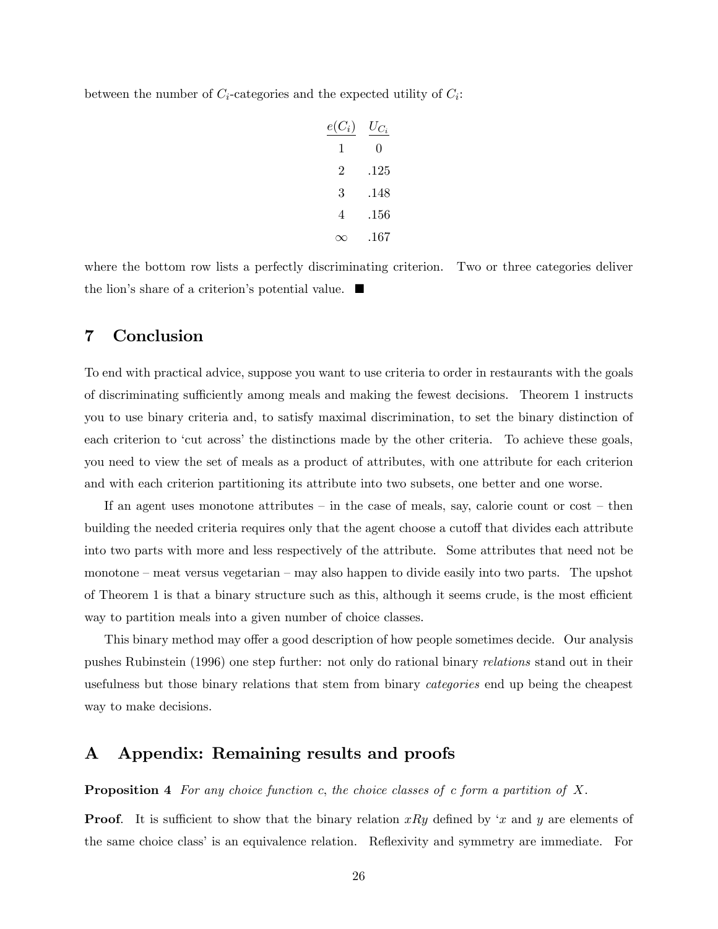between the number of  $C_i$ -categories and the expected utility of  $C_i$ :

$$
\begin{array}{r}\n e(C_i) & U_{C_i} \\
 1 & 0 \\
 2 & .125 \\
 3 & .148 \\
 4 & .156 \\
 \infty & .167\n\end{array}
$$

where the bottom row lists a perfectly discriminating criterion. Two or three categories deliver the lion's share of a criterion's potential value.  $\blacksquare$ 

# 7 Conclusion

To end with practical advice, suppose you want to use criteria to order in restaurants with the goals of discriminating sufficiently among meals and making the fewest decisions. Theorem 1 instructs you to use binary criteria and, to satisfy maximal discrimination, to set the binary distinction of each criterion to 'cut across' the distinctions made by the other criteria. To achieve these goals, you need to view the set of meals as a product of attributes, with one attribute for each criterion and with each criterion partitioning its attribute into two subsets, one better and one worse.

If an agent uses monotone attributes – in the case of meals, say, calorie count or cost – then building the needed criteria requires only that the agent choose a cutoff that divides each attribute into two parts with more and less respectively of the attribute. Some attributes that need not be  $m$ monotone – meat versus vegetarian – may also happen to divide easily into two parts. The upshot of Theorem 1 is that a binary structure such as this, although it seems crude, is the most efficient way to partition meals into a given number of choice classes.

This binary method may offer a good description of how people sometimes decide. Our analysis pushes Rubinstein (1996) one step further: not only do rational binary relations stand out in their usefulness but those binary relations that stem from binary categories end up being the cheapest way to make decisions.

## A Appendix: Remaining results and proofs

**Proposition 4** For any choice function c, the choice classes of c form a partition of X.

**Proof.** It is sufficient to show that the binary relation xRy defined by 'x and y are elements of the same choice class' is an equivalence relation. Reflexivity and symmetry are immediate. For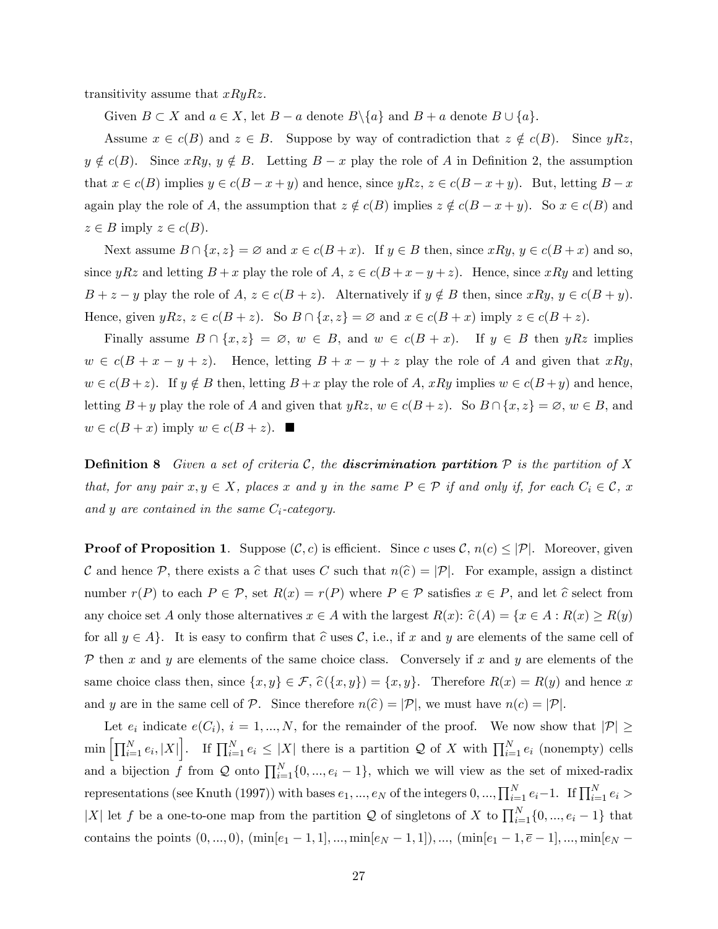transitivity assume that  $xRyRz$ .

Given  $B \subset X$  and  $a \in X$ , let  $B - a$  denote  $B \setminus \{a\}$  and  $B + a$  denote  $B \cup \{a\}$ .

Assume  $x \in c(B)$  and  $z \in B$ . Suppose by way of contradiction that  $z \notin c(B)$ . Since  $yRz$ ,  $y \notin c(B)$ . Since  $xRy, y \notin B$ . Letting  $B - x$  play the role of A in Definition 2, the assumption that  $x \in c(B)$  implies  $y \in c(B - x + y)$  and hence, since  $yRz, z \in c(B - x + y)$ . But, letting  $B - x$ again play the role of A, the assumption that  $z \notin c(B)$  implies  $z \notin c(B - x + y)$ . So  $x \in c(B)$  and  $z \in B$  imply  $z \in c(B)$ .

Next assume  $B \cap \{x, z\} = \emptyset$  and  $x \in c(B + x)$ . If  $y \in B$  then, since  $xRy, y \in c(B + x)$  and so, since yRz and letting  $B + x$  play the role of  $A, z \in c(B + x - y + z)$ . Hence, since xRy and letting  $B + z - y$  play the role of  $A, z \in c(B + z)$ . Alternatively if  $y \notin B$  then, since  $xRy, y \in c(B + y)$ . Hence, given  $yRz, z \in c(B + z)$ . So  $B \cap \{x, z\} = \emptyset$  and  $x \in c(B + x)$  imply  $z \in c(B + z)$ .

Finally assume  $B \cap \{x, z\} = \emptyset$ ,  $w \in B$ , and  $w \in c(B + x)$ . If  $y \in B$  then  $yRz$  implies  $w \in c(B + x - y + z)$ . Hence, letting  $B + x - y + z$  play the role of A and given that xRy,  $w \in c(B + z)$ . If  $y \notin B$  then, letting  $B + x$  play the role of A,  $xRy$  implies  $w \in c(B + y)$  and hence, letting  $B + y$  play the role of A and given that  $yRz, w \in c(B + z)$ . So  $B \cap \{x, z\} = \emptyset, w \in B$ , and  $w \in c(B + x)$  imply  $w \in c(B + z)$ .

**Definition 8** Given a set of criteria C, the **discrimination partition**  $P$  is the partition of X that, for any pair  $x, y \in X$ , places x and y in the same  $P \in \mathcal{P}$  if and only if, for each  $C_i \in \mathcal{C}$ , x and y are contained in the same  $C_i$ -category.

**Proof of Proposition 1.** Suppose  $(C, c)$  is efficient. Since c uses  $\mathcal{C}$ ,  $n(c) \leq |\mathcal{P}|$ . Moreover, given C and hence P, there exists a  $\hat{c}$  that uses C such that  $n(\hat{c}) = |\mathcal{P}|$ . For example, assign a distinct number  $r(P)$  to each  $P \in \mathcal{P}$ , set  $R(x) = r(P)$  where  $P \in \mathcal{P}$  satisfies  $x \in P$ , and let  $\hat{c}$  select from any choice set A only those alternatives  $x \in A$  with the largest  $R(x)$ :  $\hat{c}(A) = \{x \in A : R(x) \ge R(y)\}$ for all  $y \in A$ . It is easy to confirm that  $\hat{c}$  uses  $\mathcal{C}$ , i.e., if x and y are elements of the same cell of  $P$  then x and y are elements of the same choice class. Conversely if x and y are elements of the same choice class then, since  $\{x, y\} \in \mathcal{F}$ ,  $\hat{c}(\{x, y\}) = \{x, y\}$ . Therefore  $R(x) = R(y)$  and hence x and y are in the same cell of P. Since therefore  $n(\hat{c}) = |\mathcal{P}|$ , we must have  $n(c) = |\mathcal{P}|$ .

Let  $e_i$  indicate  $e(C_i)$ ,  $i = 1, ..., N$ , for the remainder of the proof. We now show that  $|\mathcal{P}| \geq$  $\min \left[ \prod_{i=1}^N e_i, |X| \right]$ . If  $\prod_{i=1}^N e_i \le |X|$  there is a partition Q of X with  $\prod_{i=1}^N e_i$  (nonempty) cells and a bijection f from Q onto  $\prod_{i=1}^{N} \{0, ..., e_i - 1\}$ , which we will view as the set of mixed-radix representations (see Knuth (1997)) with bases  $e_1, ..., e_N$  of the integers  $0, ..., \prod_{i=1}^N e_i-1$ . If  $\prod_{i=1}^N e_i >$ |X| let f be a one-to-one map from the partition  $\mathcal Q$  of singletons of X to  $\prod_{i=1}^N\{0,...,e_i-1\}$  that contains the points  $(0, ..., 0)$ ,  $(\min[e_1 - 1, 1], ..., \min[e_N - 1, 1])$ , ...,  $(\min[e_1 - 1, \overline{e} - 1], ..., \min[e_N - 1])$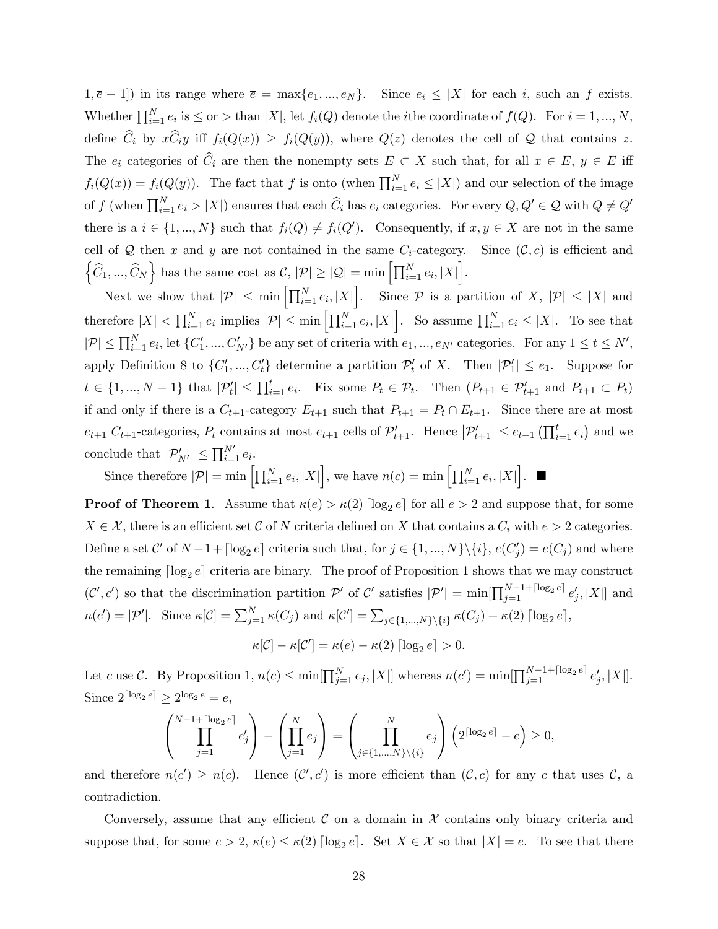$(1, \overline{e} - 1]$ ) in its range where  $\overline{e} = \max\{e_1, ..., e_N\}$ . Since  $e_i \leq |X|$  for each i, such an f exists. Whether  $\prod_{i=1}^{N} e_i$  is  $\leq$  or  $>$  than  $|X|$ , let  $f_i(Q)$  denote the *i*the coordinate of  $f(Q)$ . For  $i = 1, ..., N$ , define  $\hat{C}_i$  by  $x\hat{C}_iy$  iff  $f_i(Q(x)) \geq f_i(Q(y))$ , where  $Q(z)$  denotes the cell of Q that contains z. The  $e_i$  categories of  $\widehat{C}_i$  are then the nonempty sets  $E \subset X$  such that, for all  $x \in E$ ,  $y \in E$  iff  $f_i(Q(x)) = f_i(Q(y))$ . The fact that f is onto (when  $\prod_{i=1}^{N} e_i \leq |X|$ ) and our selection of the image of f (when  $\prod_{i=1}^{N} e_i > |X|$ ) ensures that each  $\widehat{C}_i$  has  $e_i$  categories. For every  $Q, Q' \in \mathcal{Q}$  with  $Q \neq Q'$ there is a  $i \in \{1, ..., N\}$  such that  $f_i(Q) \neq f_i(Q')$ . Consequently, if  $x, y \in X$  are not in the same cell of Q then x and y are not contained in the same  $C_i$ -category. Since  $(C, c)$  is efficient and  $\left\{\widehat{C}_1,...,\widehat{C}_N\right\}$  has the same cost as  $\mathcal{C}, |\mathcal{P}| \geq |\mathcal{Q}| = \min\left[\prod_{i=1}^N e_i, |X|\right].$ 

Next we show that  $|\mathcal{P}| \le \min \left[ \prod_{i=1}^N e_i, |X| \right]$ . Since  $\mathcal{P}$  is a partition of X,  $|\mathcal{P}| \le |X|$  and therefore  $|X| < \prod_{i=1}^{N} e_i$  implies  $|\mathcal{P}| \leq \min \left[ \prod_{i=1}^{N} e_i, |X| \right]$ . So assume  $\prod_{i=1}^{N} e_i \leq |X|$ . To see that  $|\mathcal{P}| \le \prod_{i=1}^N e_i$ , let  $\{C'_1, ..., C'_{N'}\}$  be any set of criteria with  $e_1, ..., e_{N'}$  categories. For any  $1 \le t \le N'$ , apply Definition 8 to  $\{C'_1, ..., C'_t\}$  determine a partition  $\mathcal{P}'_t$  of X. Then  $|\mathcal{P}'_1| \le e_1$ . Suppose for  $t \in \{1, ..., N-1\}$  that  $|\mathcal{P}'_t| \leq \prod_{i=1}^t e_i$ . Fix some  $P_t \in \mathcal{P}_t$ . Then  $(P_{t+1} \in \mathcal{P}'_{t+1} \text{ and } P_{t+1} \subset P_t)$ if and only if there is a  $C_{t+1}$ -category  $E_{t+1}$  such that  $P_{t+1} = P_t \cap E_{t+1}$ . Since there are at most  $e_{t+1} C_{t+1}$ -categories,  $P_t$  contains at most  $e_{t+1}$  cells of  $\mathcal{P}'_{t+1}$ . Hence  $|\mathcal{P}'_{t+1}| \leq e_{t+1} (\prod_{i=1}^t e_i)$  and we conclude that  $|\mathcal{P}'_{N'}| \le \prod_{i=1}^{N'} e_i$ .

Since therefore  $|\mathcal{P}| = \min \left[ \prod_{i=1}^N e_i, |X| \right]$ , we have  $n(c) = \min \left[ \prod_{i=1}^N e_i, |X| \right]$ .

**Proof of Theorem 1.** Assume that  $\kappa(e) > \kappa(2) \lceil \log_2 e \rceil$  for all  $e > 2$  and suppose that, for some  $X \in \mathcal{X}$ , there is an efficient set C of N criteria defined on X that contains a  $C_i$  with  $e > 2$  categories. Define a set  $\mathcal{C}'$  of  $N-1+\lceil \log_2 e \rceil$  criteria such that, for  $j \in \{1, ..., N\} \setminus \{i\}$ ,  $e(C'_j) = e(C_j)$  and where the remaining  $\lceil \log_2 e \rceil$  criteria are binary. The proof of Proposition 1 shows that we may construct  $(C', c')$  so that the discrimination partition  $\mathcal{P}'$  of C' satisfies  $|\mathcal{P}'| = \min[\prod_{j=1}^{N-1} \left| \sum_{j=1}^{N-1} e'_j, |X| \right]$  and  $n(c') = |\mathcal{P}'|$ . Since  $\kappa[\mathcal{C}] = \sum_{j=1}^N \kappa(C_j)$  and  $\kappa[\mathcal{C}'] = \sum_{j \in \{1,\dots,N\} \setminus \{i\}} \kappa(C_j) + \kappa(2) \lceil \log_2 e \rceil$ ,

 $\kappa[\mathcal{C}] - \kappa[\mathcal{C}'] = \kappa(e) - \kappa(2) \lceil \log_2 e \rceil > 0.$ 

Let c use C. By Proposition 1,  $n(c) \le \min[\prod_{j=1}^{N} e_j, |X|]$  whereas  $n(c') = \min[\prod_{j=1}^{N-1+\lceil \log_2 e \rceil} e'_j, |X|]$ . Since  $2^{\lceil \log_2 e \rceil} \geq 2^{\log_2 e} = e$ ,

$$
\left(\prod_{j=1}^{N-1+\lceil\log_2e\rceil}e'_j\right)-\left(\prod_{j=1}^Ne_j\right)=\left(\prod_{j\in\{1,\ldots,N\}\backslash\{i\}}^Ne_j\right)\left(2^{\lceil\log_2e\rceil}-e\right)\geq 0,
$$

and therefore  $n(c') \geq n(c)$ . Hence  $(C', c')$  is more efficient than  $(C, c)$  for any c that uses C, a contradiction.

Conversely, assume that any efficient  $\mathcal C$  on a domain in  $\mathcal X$  contains only binary criteria and suppose that, for some  $e > 2$ ,  $\kappa(e) \leq \kappa(2) \lceil \log_2 e \rceil$ . Set  $X \in \mathcal{X}$  so that  $|X| = e$ . To see that there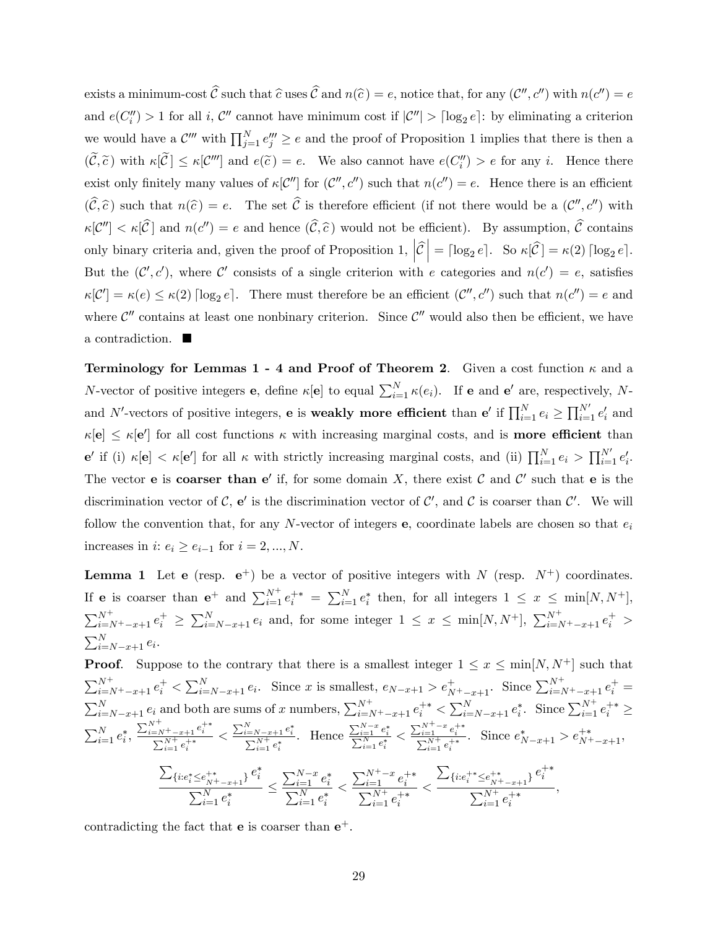exists a minimum-cost  $C$  such that  $\hat{c}$  uses  $C$  and  $n(\hat{c}) = e$ , notice that, for any  $(C'', c'')$  with  $n(c'') = e$ and  $e(C''_i) > 1$  for all i, C'' cannot have minimum cost if  $|C''| > \lceil \log_2 e \rceil$ : by eliminating a criterion we would have a  $\mathcal{C}'''$  with  $\prod_{j=1}^N e_j''' \ge e$  and the proof of Proposition 1 implies that there is then a  $(C, \tilde{c})$  with  $\kappa[\mathcal{C}] \leq \kappa[\mathcal{C}''']$  and  $e(\tilde{c}) = e$ . We also cannot have  $e(C''_i) > e$  for any i. Hence there exist only finitely many values of  $\kappa[\mathcal{C}'']$  for  $(\mathcal{C}'', c'')$  such that  $n(c'') = e$ . Hence there is an efficient  $(C, \hat{c})$  such that  $n(\hat{c}) = e$ . The set C is therefore efficient (if not there would be a  $(C'', c'')$  with  $\kappa[\mathcal{C}''] < \kappa[\mathcal{C}]$  and  $n(c'') = e$  and hence  $(\mathcal{C}, \widehat{c})$  would not be efficient). By assumption,  $\mathcal{C}$  contains only binary criteria and, given the proof of Proposition 1,  $\left| \widehat{\mathcal{C}} \right|$  $= \lceil \log_2 e \rceil$ . So  $\kappa[\hat{\mathcal{C}}] = \kappa(2) \lceil \log_2 e \rceil$ . But the  $(C', c')$ , where C' consists of a single criterion with e categories and  $n(c') = e$ , satisfies  $\kappa[\mathcal{C}'] = \kappa(e) \leq \kappa(2) [\log_2 e]$ . There must therefore be an efficient  $(\mathcal{C}'', c'')$  such that  $n(c'') = e$  and where  $\mathcal{C}''$  contains at least one nonbinary criterion. Since  $\mathcal{C}''$  would also then be efficient, we have a contradiction.

**Terminology for Lemmas 1 - 4 and Proof of Theorem 2.** Given a cost function  $\kappa$  and a N-vector of positive integers **e**, define  $\kappa[\mathbf{e}]$  to equal  $\sum_{i=1}^{N} \kappa(e_i)$ . If **e** and **e'** are, respectively, Nand N'-vectors of positive integers, **e** is **weakly more efficient** than **e'** if  $\prod_{i=1}^{N} e_i \ge \prod_{i=1}^{N'} e'_i$  and  $\kappa[\mathbf{e}] \leq \kappa[\mathbf{e}']$  for all cost functions  $\kappa$  with increasing marginal costs, and is **more efficient** than  $e'$  if (i)  $\kappa[\mathbf{e}] < \kappa[\mathbf{e'}]$  for all  $\kappa$  with strictly increasing marginal costs, and (ii)  $\prod_{i=1}^{N} e_i > \prod_{i=1}^{N'} e'_i$ . The vector **e** is **coarser than e'** if, for some domain X, there exist C and C' such that **e** is the discrimination vector of C,  $e'$  is the discrimination vector of C', and C is coarser than C'. We will follow the convention that, for any N-vector of integers **e**, coordinate labels are chosen so that  $e_i$ increases in  $i: e_i \geq e_{i-1}$  for  $i = 2, ..., N$ .

**Lemma 1** Let **e** (resp.  $e^+$ ) be a vector of positive integers with N (resp.  $N^+$ ) coordinates. If **e** is coarser than  $e^+$  and  $\sum_{i=1}^{N^+} e_i^{+*} = \sum_{i=1}^{N} e_i^*$  then, for all integers  $1 \leq x \leq \min[N, N^+]$ ,  $\sum_{i=N^+}^{N^+} e_i^+ \geq \sum_{i=N-x+1}^{N} e_i$  and, for some integer  $1 \leq x \leq \min[N, N^+]$ ,  $\sum_{i=N^+}^{N^+} e_i^+$  $\sum_{i=N-x+1}^{N} e_i$ .

**Proof.** Suppose to the contrary that there is a smallest integer  $1 \leq x \leq \min[N, N^+]$  such that  $\sum_{i=N+-x+1}^{N^+} e_i^+ < \sum_{i=N-x+1}^{N} e_i$ . Since x is smallest,  $e_{N-x+1} > e_{N^+-x+1}^+$ . Since  $\sum_{i=N^+-x+1}^{N^+} e_i^+$  $\sum_{i=N-x+1}^{N} e_i$  and both are sums of x numbers,  $\sum_{i=N+x+1}^{N^+} e_i^{+*} \le \sum_{i=N-x+1}^{N} e_i^*$ . Since  $\sum_{i=1}^{N^+} e_i^{+*} \ge$  $\sum_{i=1}^{N} e_i^*$ ,  $\frac{\sum_{i=N^{+}-x+1}^{N^{+}}e_{i}^{+*}}{\sum_{i=1}^{N^{+}}e_{i}^{+*}}$  $\leq \frac{\sum_{i=N-x+1}^{N} e_i^*}{\sum_{i=1}^{N^+} e_i^*}$ . Hence  $\frac{\sum_{i=1}^{N-x} e_i^*}{\sum_{i=1}^N e_i^*} <$  $\frac{\sum_{i=1}^{N^+-x}e_i^{+*}}{\sum_{i=1}^{N^+}e_i^{+*}}$ Since  $e^*_{N-x+1} > e^{+\ast}_{N^+ - x + 1}$ ,  $\sum_{\{i: e_i^* \leq e_{N^+ - x + 1}^{+*} \}} e_i^*$  $\sum_{i=1}^N e_i^*$  $\geq$  $\sum_{i=1}^{N-x} e_i^*$  $\sum$ i  $_{i=1}^{N}e_{i}^{*}$  $\lt$  $\sum_{i=1}^{N^+-x} e_i^{+\ast}$  $\sum_{i=1}^{N^+} e_i^{+*}$  $\lt$  $\sum_{\{i: e_i^{+*} \leq e_{N^+-x+1}^{+*}\}} e_i^{+*}$  $\sum_{i=1}^{N^+} e_i^{+*}$ ,

contradicting the fact that **e** is coarser than  $e^+$ .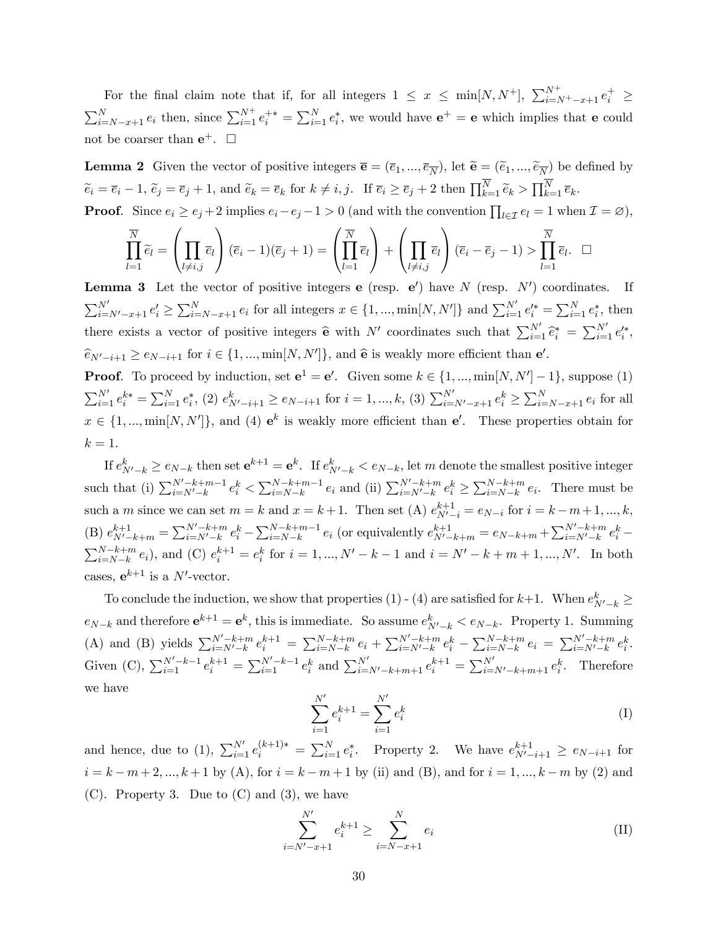For the final claim note that if, for all integers  $1 \leq x \leq \min[N, N^+]$ ,  $\sum_{i=N^+}-x+1 e_i^+ \geq$  $\sum_{i=N-x+1}^{N} e_i$  then, since  $\sum_{i=1}^{N^+} e_i^{+*} = \sum_{i=1}^{N} e_i^*$ , we would have  $e^+ = e$  which implies that e could not be coarser than  $e^+$ .  $\Box$ 

**Lemma 2** Given the vector of positive integers  $\overline{\mathbf{e}} = (\overline{e}_1, ..., \overline{e}_{\overline{N}})$ , let  $\widetilde{\mathbf{e}} = (\widetilde{e}_1, ..., \widetilde{e}_{\overline{N}})$  be defined by  $\widetilde{e}_i = \overline{e}_i - 1$ ,  $\widetilde{e}_j = \overline{e}_j + 1$ , and  $\widetilde{e}_k = \overline{e}_k$  for  $k \neq i, j$ . If  $\overline{e}_i \geq \overline{e}_j + 2$  then  $\prod_{k=1}^N \widetilde{e}_k > \prod_{k=1}^N \overline{e}_k$ .

**Proof.** Since  $e_i \ge e_j + 2$  implies  $e_i - e_j - 1 > 0$  (and with the convention  $\prod_{l \in \mathcal{I}} e_l = 1$  when  $\mathcal{I} = \varnothing$ ),

$$
\prod_{l=1}^{\overline{N}} \widetilde{e}_l = \left(\prod_{l \neq i,j} \overline{e}_l\right) (\overline{e}_i - 1)(\overline{e}_j + 1) = \left(\prod_{l=1}^{\overline{N}} \overline{e}_l\right) + \left(\prod_{l \neq i,j} \overline{e}_l\right) (\overline{e}_i - \overline{e}_j - 1) > \prod_{l=1}^{\overline{N}} \overline{e}_l. \square
$$

**Lemma 3** Let the vector of positive integers **e** (resp. **e**') have N (resp.  $N'$ ) coordinates. If  $\sum_{i=N'-x+1}^{N'} e'_i \ge \sum_{i=N-x+1}^{N} e_i$  for all integers  $x \in \{1, ..., \min[N, N']\}$  and  $\sum_{i=1}^{N'} e'_i^* = \sum_{i=1}^{N} e_i^*$ , then there exists a vector of positive integers  $\hat{\mathbf{e}}$  with N' coordinates such that  $\sum_{i=1}^{N'} \hat{e}_i^* = \sum_{i=1}^{N'} e_i'^*,$  $\widehat{e}_{N'-i+1} \ge e_{N-i+1}$  for  $i \in \{1, ..., \min[N, N']\}$ , and  $\widehat{e}$  is weakly more efficient than  $e'$ .

**Proof.** To proceed by induction, set  $e^1 = e'$ . Given some  $k \in \{1, ..., \min[N, N'] - 1\}$ , suppose (1)  $\sum_{i=1}^{N'} e_i^{k*} = \sum_{i=1}^{N} e_i^*$ , (2)  $e_{N'-i+1}^k \ge e_{N-i+1}$  for  $i = 1, ..., k$ , (3)  $\sum_{i=N'-x+1}^{N'} e_i^k \ge \sum_{i=N-x+1}^{N} e_i$  for all  $x \in \{1, ..., \min[N, N']\},$  and (4)  $e^k$  is weakly more efficient than  $e'$ . These properties obtain for  $k=1$ .

If  $e_{N'-k}^k \ge e_{N-k}$  then set  $e^{k+1} = e^k$ . If  $e_{N'-k}^k < e_{N-k}$ , let m denote the smallest positive integer such that (i)  $\sum_{i=N'-k}^{N'-k+m-1} e_i^k < \sum_{i=N-k}^{N-k+m-1} e_i$  and (ii)  $\sum_{i=N'-k}^{N'-k+m} e_i^k \ge \sum_{i=N-k}^{N-k+m} e_i$ . There must be such a *m* since we can set  $m = k$  and  $x = k + 1$ . Then set (A)  $e_{N'-i}^{k+1} = e_{N-i}$  for  $i = k - m + 1, ..., k$ , (B)  $e_{N'-k+m}^{k+1} = \sum_{i=N'-k}^{N'-k+m} e_i^k - \sum_{i=N-k}^{N-k+m-1} e_i$  (or equivalently  $e_{N'-k+m}^{k+1} = e_{N-k+m} + \sum_{i=N'-k}^{N'-k+m} e_i^k \sum_{i=N-k}^{N-k+m} e_i$ , and (C)  $e_i^{k+1} = e_i^k$  for  $i = 1, ..., N' - k - 1$  and  $i = N' - k + m + 1, ..., N'$ . In both cases,  $e^{k+1}$  is a N'-vector.

To conclude the induction, we show that properties (1) - (4) are satisfied for  $k+1$ . When  $e^k_{N'-k} \ge$  $e_{N-k}$  and therefore  $e^{k+1} = e^k$ , this is immediate. So assume  $e_{N'-k}^k < e_{N-k}$ . Property 1. Summing (A) and (B) yields  $\sum_{i=N-k}^{N'-k+m} e_i^{k+1} = \sum_{i=N-k}^{N-k+m} e_i + \sum_{i=N'-k}^{N'-k+m} e_i^k - \sum_{i=N-k}^{N-k+m} e_i = \sum_{i=N'-k}^{N'-k+m} e_i^k$ . Given (C),  $\sum_{i=1}^{N'-k-1} e_i^{k+1} = \sum_{i=1}^{N'-k-1} e_i^k$  and  $\sum_{i=N'-k+m+1}^{N'} e_i^{k+1} = \sum_{i=N'-k+m+1}^{N'} e_i^k$ . Therefore we have

$$
\sum_{i=1}^{N'} e_i^{k+1} = \sum_{i=1}^{N'} e_i^k
$$
 (I)

and hence, due to (1),  $\sum_{i=1}^{N'} e_i^{(k+1)*} = \sum_{i=1}^{N} e_i^*$ . Property 2. We have  $e_{N'-i+1}^{k+1} \ge e_{N-i+1}$  for  $i = k - m + 2, ..., k + 1$  by (A), for  $i = k - m + 1$  by (ii) and (B), and for  $i = 1, ..., k - m$  by (2) and  $(C)$ . Property 3. Due to  $(C)$  and  $(3)$ , we have

$$
\sum_{i=N'-x+1}^{N'} e_i^{k+1} \ge \sum_{i=N-x+1}^{N} e_i
$$
 (II)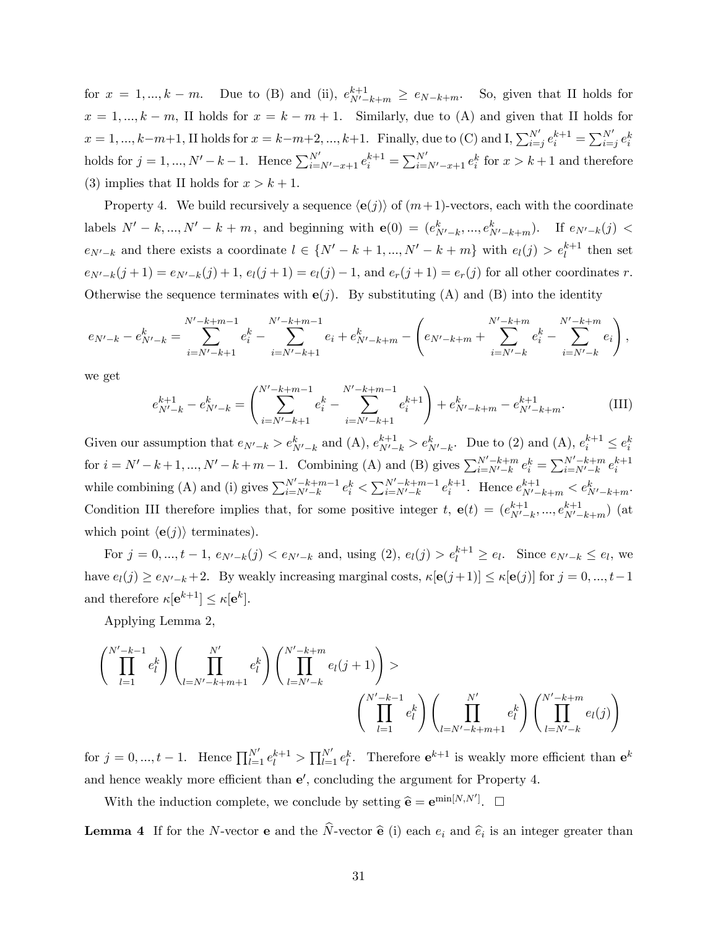for  $x = 1, ..., k-m$ . Due to (B) and (ii),  $e^{k+1}_{N'-k+m} \ge e_{N-k+m}$ . So, given that II holds for  $x = 1, ..., k - m$ , II holds for  $x = k - m + 1$ . Similarly, due to (A) and given that II holds for  $x = 1, ..., k-m+1$ , II holds for  $x = k-m+2, ..., k+1$ . Finally, due to (C) and I,  $\sum_{i=j}^{N'} e_i^{k+1} = \sum_{i=j}^{N'} e_i^k$ holds for  $j = 1, ..., N' - k - 1$ . Hence  $\sum_{i=N'-x+1}^{N'} e_i^{k+1} = \sum_{i=N'-x+1}^{N'} e_i^k$  for  $x > k+1$  and therefore (3) implies that II holds for  $x > k + 1$ .

Property 4. We build recursively a sequence  $\langle e(j) \rangle$  of  $(m+1)$ -vectors, each with the coordinate labels  $N' - k, ..., N' - k + m$ , and beginning with  $e(0) = (e_{N'-k}^k, ..., e_{N'-k+m}^k)$ . If  $e_{N'-k}(j)$  $e_{N'-k}$  and there exists a coordinate  $l \in \{N'-k+1, ..., N'-k+m\}$  with  $e_l(j) > e_l^{k+1}$  then set  $e_{N'-k}(j + 1) = e_{N'-k}(j) + 1$ ,  $e_l(j + 1) = e_l(j) - 1$ , and  $e_r(j + 1) = e_r(j)$  for all other coordinates r. Otherwise the sequence terminates with  $e(j)$ . By substituting (A) and (B) into the identity

$$
e_{N'-k} - e_{N'-k}^k = \sum_{i=N'-k+1}^{N'-k+m-1} e_i^k - \sum_{i=N'-k+1}^{N'-k+m-1} e_i + e_{N'-k+m}^k - \left( e_{N'-k+m} + \sum_{i=N'-k}^{N'-k+m} e_i^k - \sum_{i=N'-k}^{N'-k+m} e_i \right),
$$

we get

$$
e_{N'-k}^{k+1} - e_{N'-k}^k = \left( \sum_{i=N'-k+1}^{N'-k+m-1} e_i^k - \sum_{i=N'-k+1}^{N'-k+m-1} e_i^{k+1} \right) + e_{N'-k+m}^k - e_{N'-k+m}^{k+1}.
$$
 (III)

Given our assumption that  $e_{N'-k} > e^k_{N'-k}$  and (A),  $e^{k+1}_{N'-k} > e^k_{N'-k}$ . Due to (2) and (A),  $e^{k+1}_i \le e^k_i$ for  $i = N' - k + 1, ..., N' - k + m - 1$ . Combining (A) and (B) gives  $\sum_{i=N'-k}^{N'-k+m} e_i^k = \sum_{i=N'-k}^{N'-k+m} e_i^{k+1}$ while combining (A) and (i) gives  $\sum_{i=N'-k}^{N'-k+m-1} e_i^k < \sum_{i=N'-k}^{N'-k+m-1} e_i^{k+1}$ . Hence  $e_{N'-k+m}^{k+1} < e_{N'-k+m}^k$ . Condition III therefore implies that, for some positive integer t,  $e(t) = (e^{k+1}_{N'}$  ${}_{N'-k}^{k+1},...,e_{N'-k+m}^{k+1})$  (at which point  $\langle e(j) \rangle$  terminates).

For  $j = 0, ..., t - 1$ ,  $e_{N'-k}(j) < e_{N'-k}$  and, using  $(2)$ ,  $e_l(j) > e_l^{k+1} \ge e_l$ . Since  $e_{N'-k} \le e_l$ , we have  $e_l(j) \geq e_{N'-k} + 2$ . By weakly increasing marginal costs,  $\kappa[\mathbf{e}(j+1)] \leq \kappa[\mathbf{e}(j)]$  for  $j = 0, ..., t-1$ and therefore  $\kappa[\mathbf{e}^{k+1}] \leq \kappa[\mathbf{e}^k]$ .

Applying Lemma 2,

$$
\left(\prod_{l=1}^{N'-k-1} e_l^k\right) \left(\prod_{l=N'-k+m+1}^{N'} e_l^k\right) \left(\prod_{l=N'-k}^{N'-k+m} e_l(j+1)\right) >
$$
\n
$$
\left(\prod_{l=1}^{N'-k-1} e_l^k\right) \left(\prod_{l=N'-k+m+1}^{N'} e_l^k\right) \left(\prod_{l=N'-k}^{N'-k+m} e_l(j)\right)
$$

for  $j = 0, ..., t - 1$ . Hence  $\prod_{l=1}^{N'} e_l^{k+1} > \prod_{l=1}^{N'} e_l^k$ . Therefore  $e^{k+1}$  is weakly more efficient than  $e^k$ and hence weakly more efficient than  $e'$ , concluding the argument for Property 4.

With the induction complete, we conclude by setting  $\hat{\mathbf{e}} = \mathbf{e}^{\min[N,N']}$ .  $\Box$ 

**Lemma 4** If for the N-vector **e** and the N-vector  $\hat{\mathbf{e}}$  (i) each  $e_i$  and  $\hat{e}_i$  is an integer greater than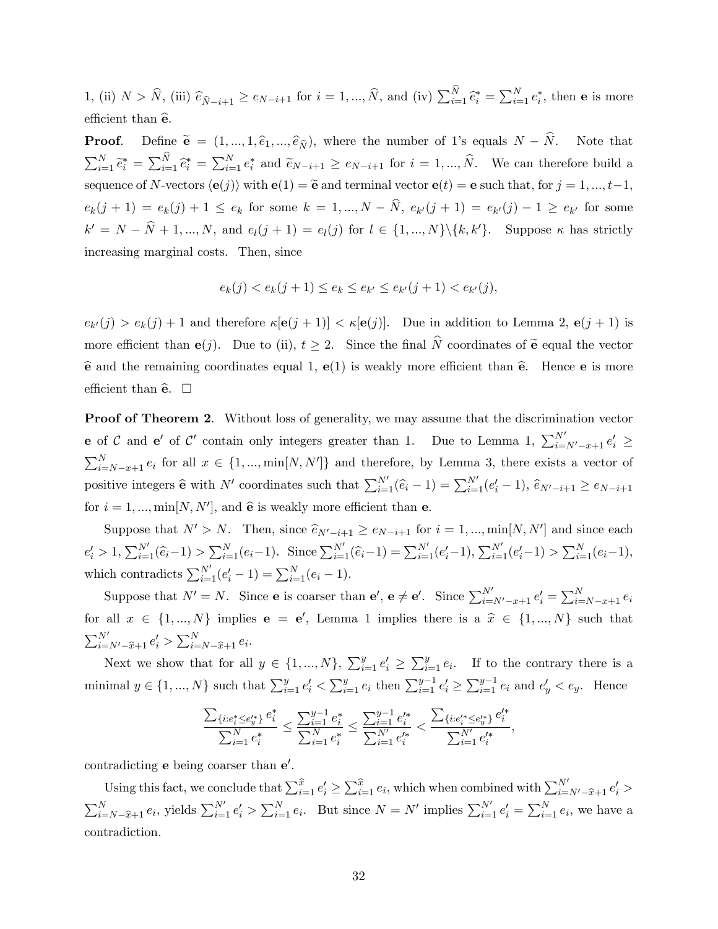1, (ii)  $N > \hat{N}$ , (iii)  $\hat{e}_{\hat{N}-i+1} \ge e_{N-i+1}$  for  $i = 1, ..., \hat{N}$ , and (iv)  $\sum_{i=1}^{N} \hat{e}_{i}^{*} = \sum_{i=1}^{N} e_{i}^{*}$ , then **e** is more efficient than  $\hat{\mathbf{e}}$ .

**Proof.** Define  $\tilde{\mathbf{e}} = (1, ..., 1, \hat{e}_1, ..., \hat{e}_{\hat{N}})$ , where the number of 1's equals  $N - \hat{N}$ . Note that  $\sum_{i=1}^N \tilde{e}_i^* = \sum_{i=1}^N \tilde{e}_i^* = \sum_{i=1}^N e_i^*$  and  $\tilde{e}_{N-i+1} \ge e_{N-i+1}$  for  $i = 1, ..., \hat{N}$ . We can therefore build a sequence of N-vectors  $\langle e(j) \rangle$  with  $e(1) = \tilde{e}$  and terminal vector  $e(t) = e$  such that, for  $j = 1, ..., t-1$ ,  $e_k(j + 1) = e_k(j) + 1 \le e_k$  for some  $k = 1, ..., N - N$ ,  $e_{k'}(j + 1) = e_{k'}(j) - 1 \ge e_{k'}$  for some  $k' = N - N + 1, ..., N$ , and  $e_l(j + 1) = e_l(j)$  for  $l \in \{1, ..., N\} \setminus \{k, k'\}$ . Suppose  $\kappa$  has strictly increasing marginal costs. Then, since

$$
e_k(j) < e_k(j+1) \leq e_k \leq e_{k'} \leq e_{k'}(j+1) < e_{k'}(j),
$$

 $e_{k'}(j) > e_k(j) + 1$  and therefore  $\kappa[\mathbf{e}(j+1)] < \kappa[\mathbf{e}(j)]$ . Due in addition to Lemma 2,  $\mathbf{e}(j+1)$  is more efficient than  $e(j)$ . Due to (ii),  $t \geq 2$ . Since the final  $\widehat{N}$  coordinates of  $\widetilde{e}$  equal the vector  $\hat{\mathbf{e}}$  and the remaining coordinates equal 1,  $\mathbf{e}(1)$  is weakly more efficient than  $\hat{\mathbf{e}}$ . Hence  $\mathbf{e}$  is more efficient than  $\hat{\mathbf{e}}$ .  $\square$ 

Proof of Theorem 2. Without loss of generality, we may assume that the discrimination vector **e** of C and **e'** of C' contain only integers greater than 1. Due to Lemma 1,  $\sum_{i=N'-x+1}^{N'} e'_i \geq$  $\sum_{i=N-x+1}^{N} e_i$  for all  $x \in \{1, ..., \min[N, N']\}$  and therefore, by Lemma 3, there exists a vector of positive integers  $\hat{\mathbf{e}}$  with N' coordinates such that  $\sum_{i=1}^{N'}(\hat{e}_i-1) = \sum_{i=1}^{N'}(e'_i-1), \hat{e}_{N'-i+1} \ge e_{N-i+1}$ for  $i = 1, ..., \min[N, N']$ , and  $\hat{e}$  is weakly more efficient than **e**.

Suppose that  $N' > N$ . Then, since  $\widehat{e}_{N'-i+1} \ge e_{N-i+1}$  for  $i = 1, ..., \min[N, N']$  and since each  $e'_i > 1, \sum_{i=1}^{N'} (\hat{e}_i - 1) > \sum_{i=1}^{N} (e_i - 1).$  Since  $\sum_{i=1}^{N'} (\hat{e}_i - 1) = \sum_{i=1}^{N'} (e'_i - 1), \sum_{i=1}^{N'} (e'_i - 1) > \sum_{i=1}^{N} (e_i - 1),$ which contradicts  $\sum_{i=1}^{N'} (e'_i - 1) = \sum_{i=1}^{N} (e_i - 1)$ .

Suppose that  $N' = N$ . Since **e** is coarser than **e'**, **e**  $\neq$  **e'**. Since  $\sum_{i=N'-x+1}^{N'} e_i' = \sum_{i=N-x+1}^{N} e_i$ for all  $x \in \{1, ..., N\}$  implies  $e = e'$ , Lemma 1 implies there is a  $\hat{x} \in \{1, ..., N\}$  such that  $\sum_{i=N'-\hat{x}+1}^{N'} e'_i > \sum_{i=N-\hat{x}+1}^{N} e_i.$ 

Next we show that for all  $y \in \{1, ..., N\}$ ,  $\sum_{i=1}^{y} e'_i \geq \sum_{i=1}^{y} e_i$ . If to the contrary there is a minimal  $y \in \{1, ..., N\}$  such that  $\sum_{i=1}^{y} e'_i < \sum_{i=1}^{y} e_i$  then  $\sum_{i=1}^{y-1} e'_i \ge \sum_{i=1}^{y-1} e_i$  and  $e'_y < e_y$ . Hence

$$
\frac{\sum_{\{i: e_i^*\leq e_j^{\prime *}\}} e_i^*}{\sum_{i=1}^N e_i^*} \leq \frac{\sum_{i=1}^{y-1} e_i^*}{\sum_{i=1}^N e_i^*} \leq \frac{\sum_{i=1}^{y-1} e_i^{\prime *}}{\sum_{i=1}^{N'} e_i^{\prime *}} < \frac{\sum_{\{i: e_i^{\prime *}\leq e_j^{\prime *}\}} e_i^{\prime *}}{\sum_{i=1}^{N'} e_i^{\prime *}},
$$

contradicting  $e$  being coarser than  $e'$ .

Using this fact, we conclude that  $\sum_{i=1}^{\widehat{x}} e'_i \geq \sum_{i=1}^{\widehat{x}} e_i$ , which when combined with  $\sum_{i=N'-\widehat{x}+1}^{N'} e'_i$  $\sum_{i=N}^{N} e_i$ , yields  $\sum_{i=1}^{N'} e'_i > \sum_{i=1}^{N} e_i$ . But since  $N = N'$  implies  $\sum_{i=1}^{N'} e'_i = \sum_{i=1}^{N} e_i$ , we have a contradiction.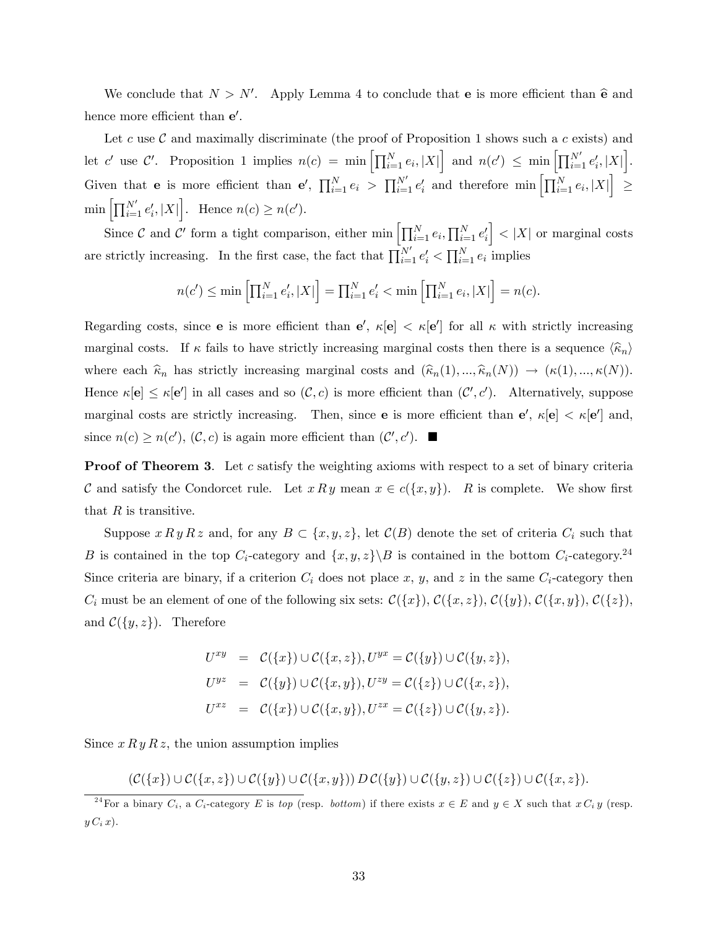We conclude that  $N > N'$ . Apply Lemma 4 to conclude that **e** is more efficient than  $\hat{\mathbf{e}}$  and hence more efficient than  $e'$ .

Let c use C and maximally discriminate (the proof of Proposition 1 shows such a c exists) and let c' use  $\mathcal{C}'$ . Proposition 1 implies  $n(c) = \min \left[ \prod_{i=1}^N e_i, |X| \right]$  and  $n(c') \leq \min \left[ \prod_{i=1}^{N'} e'_i, |X| \right]$ . Given that **e** is more efficient than **e'**,  $\prod_{i=1}^{N} e_i > \prod_{i=1}^{N'} e'_i$  and therefore  $\min \left[ \prod_{i=1}^{N} e_i, |X| \right]$  $\leq$  $\min \left[ \prod_{i=1}^{N'} e'_i, |X| \right]$ . Hence  $n(c) \geq n(c')$ .

Since C and C' form a tight comparison, either  $\min \left[ \prod_{i=1}^{N} e_i, \prod_{i=1}^{N} e'_i \right]$  $\Big\vert < |X|$  or marginal costs are strictly increasing. In the first case, the fact that  $\prod_{i=1}^{N'} e'_i < \prod_{i=1}^{N} e_i$  implies

$$
n(c') \le \min\left[\prod_{i=1}^{N} e'_i, |X|\right] = \prod_{i=1}^{N} e'_i < \min\left[\prod_{i=1}^{N} e_i, |X|\right] = n(c).
$$

Regarding costs, since **e** is more efficient than  $e'$ ,  $\kappa[\mathbf{e}] < \kappa[\mathbf{e'}]$  for all  $\kappa$  with strictly increasing marginal costs. If  $\kappa$  fails to have strictly increasing marginal costs then there is a sequence  $\langle \hat{\kappa}_n \rangle$ where each  $\hat{\kappa}_n$  has strictly increasing marginal costs and  $(\hat{\kappa}_n(1), ..., \hat{\kappa}_n(N)) \to (\kappa(1), ..., \kappa(N)).$ Hence  $\kappa[\mathbf{e}] \leq \kappa[\mathbf{e}']$  in all cases and so  $(C, c)$  is more efficient than  $(C', c')$ . Alternatively, suppose marginal costs are strictly increasing. Then, since **e** is more efficient than  $e'$ ,  $\kappa[\mathbf{e}] < \kappa[\mathbf{e'}]$  and, since  $n(c) \geq n(c')$ ,  $(C, c)$  is again more efficient than  $(C', c')$ .

**Proof of Theorem 3.** Let c satisfy the weighting axioms with respect to a set of binary criteria C and satisfy the Condorcet rule. Let  $x R y$  mean  $x \in c({x, y})$ . R is complete. We show first that  $R$  is transitive.

Suppose  $x R y R z$  and, for any  $B \subset \{x, y, z\}$ , let  $\mathcal{C}(B)$  denote the set of criteria  $C_i$  such that B is contained in the top  $C_i$ -category and  $\{x, y, z\} \ B$  is contained in the bottom  $C_i$ -category.<sup>24</sup> Since criteria are binary, if a criterion  $C_i$  does not place x, y, and z in the same  $C_i$ -category then  $C_i$  must be an element of one of the following six sets:  $\mathcal{C}(\lbrace x \rbrace)$ ,  $\mathcal{C}(\lbrace x, z \rbrace)$ ,  $\mathcal{C}(\lbrace x, y \rbrace)$ ,  $\mathcal{C}(\lbrace x, y \rbrace)$ ,  $\mathcal{C}(\lbrace z \rbrace)$ , and  $\mathcal{C}(\lbrace y, z \rbrace)$ . Therefore

$$
U^{xy} = C({x}) \cup C({x, z}), U^{yx} = C({y}) \cup C({y, z}),
$$
  
\n
$$
U^{yz} = C({y}) \cup C({x, y}), U^{zy} = C({z}) \cup C({x, z}),
$$
  
\n
$$
U^{xz} = C({x}) \cup C({x, y}), U^{zx} = C({z}) \cup C({y, z}).
$$

Since  $x R y R z$ , the union assumption implies

$$
(\mathcal{C}(\lbrace x\rbrace)\cup\mathcal{C}(\lbrace x,z\rbrace)\cup\mathcal{C}(\lbrace y\rbrace)\cup\mathcal{C}(\lbrace x,y\rbrace))\ D\ \mathcal{C}(\lbrace y\rbrace)\cup\mathcal{C}(\lbrace y,z\rbrace)\cup\mathcal{C}(\lbrace z\rbrace)\cup\mathcal{C}(\lbrace x,z\rbrace).
$$

<sup>&</sup>lt;sup>24</sup>For a binary  $C_i$ , a  $C_i$ -category E is top (resp. bottom) if there exists  $x \in E$  and  $y \in X$  such that  $x C_i y$  (resp.  $y C_i x$ .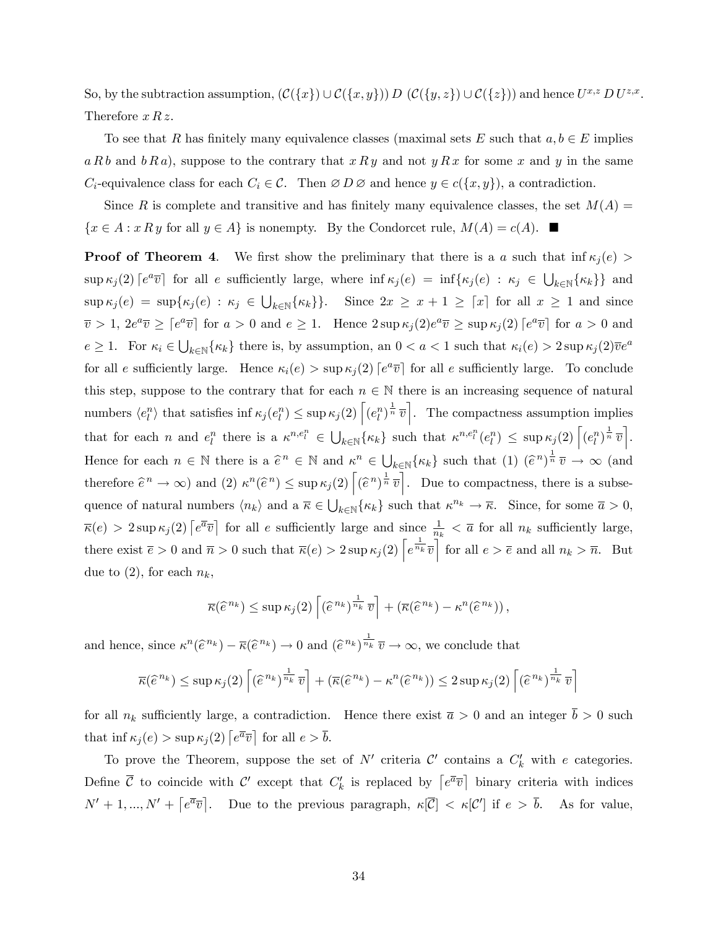So, by the subtraction assumption,  $(C({x}) \cup C({x,y})) D (C({y,z}) \cup C({z}))$  and hence  $U^{x,z} D U^{z,x}$ . Therefore  $x R z$ .

To see that R has finitely many equivalence classes (maximal sets E such that  $a, b \in E$  implies  $a R b$  and  $b R a$ , suppose to the contrary that  $x R y$  and not  $y R x$  for some x and y in the same  $C_i$ -equivalence class for each  $C_i \in \mathcal{C}$ . Then  $\emptyset D \emptyset$  and hence  $y \in c({x, y})$ , a contradiction.

Since R is complete and transitive and has finitely many equivalence classes, the set  $M(A)$  =  $\{x \in A : x R y \text{ for all } y \in A\}$  is nonempty. By the Condorcet rule,  $M(A) = c(A)$ .

**Proof of Theorem 4.** We first show the preliminary that there is a a such that inf  $\kappa_j(e)$  $\sup \kappa_j(2)$   $\lceil e^{a}\overline{v} \rceil$  for all e sufficiently large, where  $\inf \kappa_j(e) = \inf \{\kappa_j(e) : \kappa_j \in \bigcup_{k \in \mathbb{N}} {\{\kappa_k\}}\}$  and  $\sup \kappa_j(e) = \sup \{\kappa_j(e) : \kappa_j \in \bigcup_{k \in \mathbb{N}} \{\kappa_k\}\}\.$  Since  $2x \geq x + 1 \geq \lceil x \rceil$  for all  $x \geq 1$  and since  $\overline{v} > 1$ ,  $2e^a \overline{v} \geq \left[e^a \overline{v}\right]$  for  $a > 0$  and  $e \geq 1$ . Hence  $2 \sup \kappa_j(2)e^a \overline{v} \geq \sup \kappa_j(2) \left[e^a \overline{v}\right]$  for  $a > 0$  and  $e \ge 1$ . For  $\kappa_i \in \bigcup_{k \in \mathbb{N}} {\{\kappa_k\}}$  there is, by assumption, an  $0 < a < 1$  such that  $\kappa_i(e) > 2 \sup \kappa_j(2)\overline{v}e^a$ for all e sufficiently large. Hence  $\kappa_i(e) > \sup \kappa_j(2)$  [ $e^a \overline{v}$ ] for all e sufficiently large. To conclude this step, suppose to the contrary that for each  $n \in \mathbb{N}$  there is an increasing sequence of natural numbers  $\langle e_l^n \rangle$  that satisfies inf  $\kappa_j(e_l^n) \leq \sup \kappa_j(2) \left[ (e_l^n)^{\frac{1}{n}} \overline{v} \right]$ . The compactness assumption implies that for each *n* and  $e_l^n$  there is a  $\kappa^{n,e_l^n} \in \bigcup_{k \in \mathbb{N}} {\{\kappa_k\}}$  such that  $\kappa^{n,e_l^n}(e_l^n) \leq \sup \kappa_j(2) \left[ (e_l^n)^{\frac{1}{n}} \overline{v} \right]$ . Hence for each  $n \in \mathbb{N}$  there is a  $\hat{e}^n \in \mathbb{N}$  and  $\kappa^n \in \bigcup_{k \in \mathbb{N}} {\{\kappa_k\}}$  such that  $(1)$   $(\hat{e}^n)^{\frac{1}{n}} \overline{v} \to \infty$  (and therefore  $\hat{e}^n \to \infty$ ) and (2)  $\kappa^n(\hat{e}^n) \leq \sup \kappa_j(2) \left[ (\hat{e}^n)^{\frac{1}{n}} \overline{v} \right]$ . Due to compactness, there is a subsequence of natural numbers  $\langle n_k \rangle$  and a  $\overline{\kappa} \in \bigcup_{k \in \mathbb{N}} {\{\kappa_k\}}$  such that  $\kappa^{n_k} \to \overline{\kappa}$ . Since, for some  $\overline{a} > 0$ ,  $\overline{\kappa}(e) > 2 \sup \kappa_j(2) \left[ e^{\overline{a}} \overline{v} \right]$  for all e sufficiently large and since  $\frac{1}{n_k} < \overline{a}$  for all  $n_k$  sufficiently large, there exist  $\overline{e} > 0$  and  $\overline{n} > 0$  such that  $\overline{\kappa}(e) > 2 \sup \kappa_j(2) \left[ e^{\frac{1}{n_k}} \overline{v} \right]$  for all  $e > \overline{e}$  and all  $n_k > \overline{n}$ . But due to  $(2)$ , for each  $n_k$ ,

$$
\overline{\kappa}(\widehat{e}^{n_k}) \leq \sup \kappa_j(2) \left[ (\widehat{e}^{n_k})^{\frac{1}{n_k}} \overline{v} \right] + \left( \overline{\kappa}(\widehat{e}^{n_k}) - \kappa^n(\widehat{e}^{n_k}) \right),
$$

and hence, since  $\kappa^n(\hat{e}^{n_k}) - \overline{\kappa}(\hat{e}^{n_k}) \to 0$  and  $(\hat{e}^{n_k})^{\frac{1}{n_k}} \overline{v} \to \infty$ , we conclude that

$$
\overline{\kappa}(\widehat{e}^{n_k}) \leq \sup \kappa_j(2) \left[ (\widehat{e}^{n_k})^{\frac{1}{n_k}} \overline{v} \right] + (\overline{\kappa}(\widehat{e}^{n_k}) - \kappa^n(\widehat{e}^{n_k})) \leq 2 \sup \kappa_j(2) \left[ (\widehat{e}^{n_k})^{\frac{1}{n_k}} \overline{v} \right]
$$

for all  $n_k$  sufficiently large, a contradiction. Hence there exist  $\bar{a} > 0$  and an integer  $\bar{b} > 0$  such that inf  $\kappa_j(e) > \sup \kappa_j(2) \left[ e^{\overline{a}} \overline{v} \right]$  for all  $e > \overline{b}$ .

To prove the Theorem, suppose the set of  $N'$  criteria  $\mathcal{C}'$  contains a  $C'_{k}$  with e categories. Define  $\bar{\mathcal{C}}$  to coincide with  $\mathcal{C}'$  except that  $C'_k$  is replaced by  $\left[e^{\bar{a}}\bar{v}\right]$  binary criteria with indices  $N' + 1, ..., N' + \left[ e^{\overline{a}} \overline{v} \right]$ . Due to the previous paragraph,  $\kappa[\overline{C}] < \kappa[\mathcal{C}']$  if  $e > \overline{b}$ . As for value,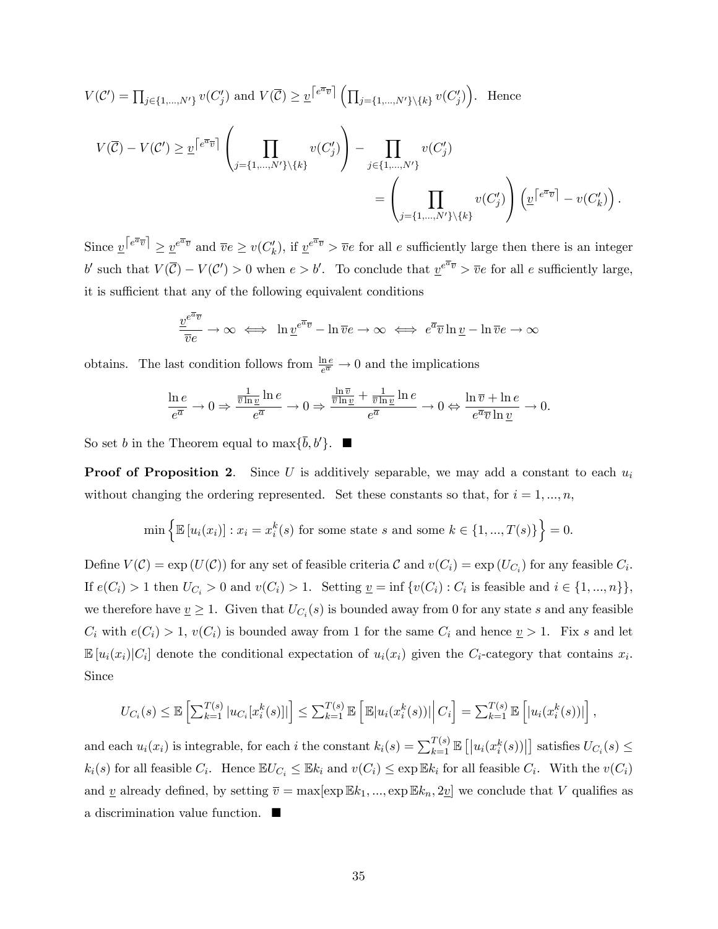$$
V(C') = \prod_{j \in \{1, \ldots, N'\}} v(C'_j) \text{ and } V(\overline{C}) \ge \underline{v}^{\lceil e^{\overline{a}} \overline{v} \rceil} \left( \prod_{j=\{1, \ldots, N'\} \setminus \{k\}} v(C'_j) \right). \text{ Hence}
$$
\n
$$
V(\overline{C}) - V(C') \ge \underline{v}^{\lceil e^{\overline{a}} \overline{v} \rceil} \left( \prod_{j=\{1, \ldots, N'\} \setminus \{k\}} v(C'_j) \right) - \prod_{j \in \{1, \ldots, N'\}} v(C'_j)
$$
\n
$$
= \left( \prod_{j=\{1, \ldots, N'\} \setminus \{k\}} v(C'_j) \right) \left( \underline{v}^{\lceil e^{\overline{a}} \overline{v} \rceil} - v(C'_k) \right).
$$

Since  $v^{\lceil e^{\overline{a}}\overline{v} \rceil} \geq v^{\overline{e}^{\overline{a}}\overline{v}}$  and  $\overline{v}e \geq v(C'_k)$ , if  $v^{\overline{e}^{\overline{a}}\overline{v}} > \overline{v}e$  for all e sufficiently large then there is an integer b' such that  $V(\overline{C}) - V(C') > 0$  when  $e > b'$ . To conclude that  $\underline{v}^{e^{\overline{a}}\overline{v}} > \overline{v}e$  for all e sufficiently large, it is sufficient that any of the following equivalent conditions

$$
\frac{v^{e^{\overline{a}}\overline{v}}}{\overline{v}e} \to \infty \iff \ln \underline{v}^{e^{\overline{a}}\overline{v}} - \ln \overline{v}e \to \infty \iff e^{\overline{a}}\overline{v} \ln \underline{v} - \ln \overline{v}e \to \infty
$$

obtains. The last condition follows from  $\frac{\ln e}{e^{\overline{a}}} \to 0$  and the implications

$$
\frac{\ln e}{e^{\overline{a}}} \to 0 \Rightarrow \frac{\frac{1}{\overline{v} \ln v} \ln e}{e^{\overline{a}}} \to 0 \Rightarrow \frac{\frac{\ln \overline{v}}{\overline{v} \ln v} + \frac{1}{\overline{v} \ln v} \ln e}{e^{\overline{a}}} \to 0 \Leftrightarrow \frac{\ln \overline{v} + \ln e}{e^{\overline{a}} \overline{v} \ln v} \to 0.
$$

So set b in the Theorem equal to  $\max{\{\overline{b}, b'\}}$ .

**Proof of Proposition 2.** Since U is additively separable, we may add a constant to each  $u_i$ without changing the ordering represented. Set these constants so that, for  $i = 1, ..., n$ ,

$$
\min\left\{\mathbb{E}\left[u_i(x_i)\right] : x_i = x_i^k(s) \text{ for some state } s \text{ and some } k \in \{1, ..., T(s)\}\right\} = 0.
$$

Define  $V(\mathcal{C}) = \exp(U(\mathcal{C}))$  for any set of feasible criteria  $\mathcal{C}$  and  $v(C_i) = \exp(U_{C_i})$  for any feasible  $C_i$ . If  $e(C_i) > 1$  then  $U_{C_i} > 0$  and  $v(C_i) > 1$ . Setting  $\underline{v} = \inf \{v(C_i) : C_i$  is feasible and  $i \in \{1, ..., n\}\},\$ we therefore have  $\underline{v} \geq 1$ . Given that  $U_{C_i}(s)$  is bounded away from 0 for any state s and any feasible  $C_i$  with  $e(C_i) > 1$ ,  $v(C_i)$  is bounded away from 1 for the same  $C_i$  and hence  $v > 1$ . Fix s and let  $\mathbb{E}[u_i(x_i)|C_i]$  denote the conditional expectation of  $u_i(x_i)$  given the  $C_i$ -category that contains  $x_i$ . Since

$$
U_{C_i}(s) \leq \mathbb{E}\left[\sum_{k=1}^{T(s)} |u_{C_i}[x_i^k(s)]|\right] \leq \sum_{k=1}^{T(s)} \mathbb{E}\left[\mathbb{E}|u_i(x_i^k(s))|\right| C_i\right] = \sum_{k=1}^{T(s)} \mathbb{E}\left[|u_i(x_i^k(s))|\right],
$$

and each  $u_i(x_i)$  is integrable, for each i the constant  $k_i(s) = \sum_{k=1}^{T(s)} \mathbb{E} [u_i(x_i^k(s))|]$  satisfies  $U_{C_i}(s) \leq$  $k_i(s)$  for all feasible  $C_i$ . Hence  $\mathbb{E} U_{C_i} \leq \mathbb{E} k_i$  and  $v(C_i) \leq \exp \mathbb{E} k_i$  for all feasible  $C_i$ . With the  $v(C_i)$ and <u>v</u> already defined, by setting  $\overline{v} = \max[\exp \mathbb{E}k_1, ..., \exp \mathbb{E}k_n, 2\underline{v}]$  we conclude that V qualifies as a discrimination value function.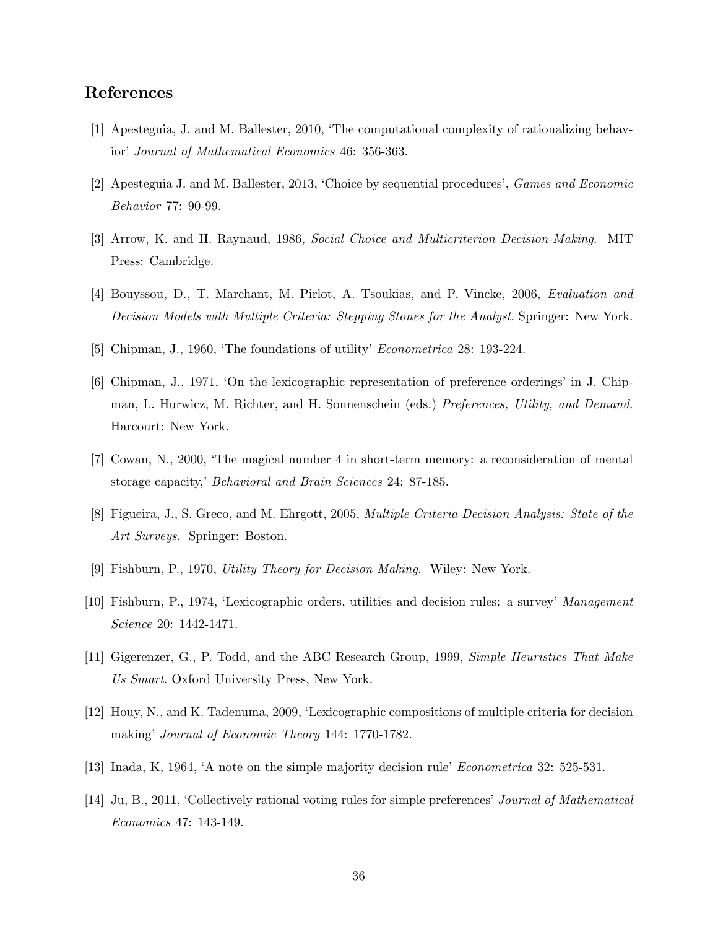# References

- [1] Apesteguia, J. and M. Ballester, 2010, ëThe computational complexity of rationalizing behavior' Journal of Mathematical Economics 46: 356-363.
- [2] Apesteguia J. and M. Ballester, 2013, 'Choice by sequential procedures', *Games and Economic* Behavior 77: 90-99.
- [3] Arrow, K. and H. Raynaud, 1986, Social Choice and Multicriterion Decision-Making. MIT Press: Cambridge.
- [4] Bouyssou, D., T. Marchant, M. Pirlot, A. Tsoukias, and P. Vincke, 2006, Evaluation and Decision Models with Multiple Criteria: Stepping Stones for the Analyst. Springer: New York.
- [5] Chipman, J., 1960, 'The foundations of utility' *Econometrica* 28: 193-224.
- [6] Chipman, J., 1971, 'On the lexicographic representation of preference orderings' in J. Chipman, L. Hurwicz, M. Richter, and H. Sonnenschein (eds.) Preferences, Utility, and Demand. Harcourt: New York.
- [7] Cowan, N., 2000, ëThe magical number 4 in short-term memory: a reconsideration of mental storage capacity,' Behavioral and Brain Sciences 24: 87-185.
- [8] Figueira, J., S. Greco, and M. Ehrgott, 2005, Multiple Criteria Decision Analysis: State of the Art Surveys. Springer: Boston.
- [9] Fishburn, P., 1970, Utility Theory for Decision Making. Wiley: New York.
- [10] Fishburn, P., 1974, 'Lexicographic orders, utilities and decision rules: a survey' Management Science 20: 1442-1471.
- [11] Gigerenzer, G., P. Todd, and the ABC Research Group, 1999, Simple Heuristics That Make Us Smart. Oxford University Press, New York.
- [12] Houy, N., and K. Tadenuma, 2009, ëLexicographic compositions of multiple criteria for decision making' Journal of Economic Theory 144: 1770-1782.
- [13] Inada, K, 1964,  $\Delta$  note on the simple majority decision rule<sup> $\prime$ </sup> *Econometrica* 32: 525-531.
- [14] Ju, B., 2011, 'Collectively rational voting rules for simple preferences' Journal of Mathematical Economics 47: 143-149.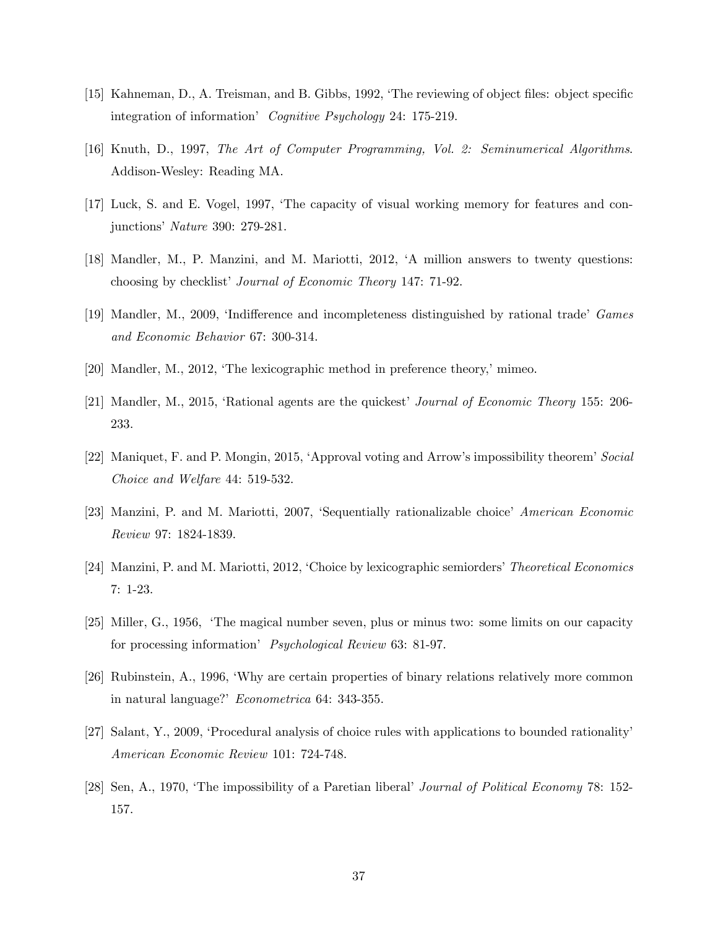- [15] Kahneman, D., A. Treisman, and B. Gibbs, 1992, 'The reviewing of object files: object specific integration of information<sup>'</sup> Cognitive Psychology 24: 175-219.
- [16] Knuth, D., 1997, The Art of Computer Programming, Vol. 2: Seminumerical Algorithms. Addison-Wesley: Reading MA.
- [17] Luck, S. and E. Vogel, 1997, ëThe capacity of visual working memory for features and conjunctions<sup>'</sup> Nature 390: 279-281.
- [18] Mandler, M., P. Manzini, and M. Mariotti, 2012, ëA million answers to twenty questions: choosing by checklist' Journal of Economic Theory 147: 71-92.
- [19] Mandler, M., 2009, 'Indifference and incompleteness distinguished by rational trade' Games and Economic Behavior 67: 300-314.
- $[20]$  Mandler, M., 2012, The lexicographic method in preference theory,' mimeo.
- [21] Mandler, M., 2015, 'Rational agents are the quickest' *Journal of Economic Theory* 155: 206-233.
- [22] Maniquet, F. and P. Mongin, 2015, 'Approval voting and Arrow's impossibility theorem' Social Choice and Welfare 44: 519-532.
- [23] Manzini, P. and M. Mariotti, 2007, 'Sequentially rationalizable choice' American Economic Review 97: 1824-1839.
- [24] Manzini, P. and M. Mariotti, 2012, 'Choice by lexicographic semiorders' Theoretical Economics 7: 1-23.
- [25] Miller, G., 1956, ëThe magical number seven, plus or minus two: some limits on our capacity for processing information<sup>'</sup> Psychological Review 63: 81-97.
- [26] Rubinstein, A., 1996, ëWhy are certain properties of binary relations relatively more common in natural language?' Econometrica 64: 343-355.
- [27] Salant, Y., 2009, 'Procedural analysis of choice rules with applications to bounded rationality' American Economic Review 101: 724-748.
- [28] Sen, A., 1970, 'The impossibility of a Paretian liberal' Journal of Political Economy 78: 152-157.